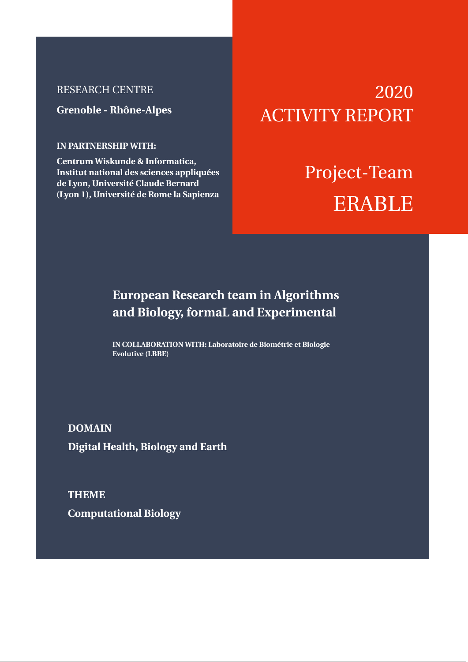# RESEARCH CENTRE

**Grenoble - Rhône-Alpes**

## **IN PARTNERSHIP WITH:**

**Centrum Wiskunde & Informatica, Institut national des sciences appliquées de Lyon, Université Claude Bernard (Lyon 1), Université de Rome la Sapienza**

# 2020 ACTIVITY REPORT

# Project-Team ERABLE

# **European Research team in Algorithms and Biology, formaL and Experimental**

**IN COLLABORATION WITH: Laboratoire de Biométrie et Biologie Evolutive (LBBE)**

**DOMAIN Digital Health, Biology and Earth**

**THEME Computational Biology**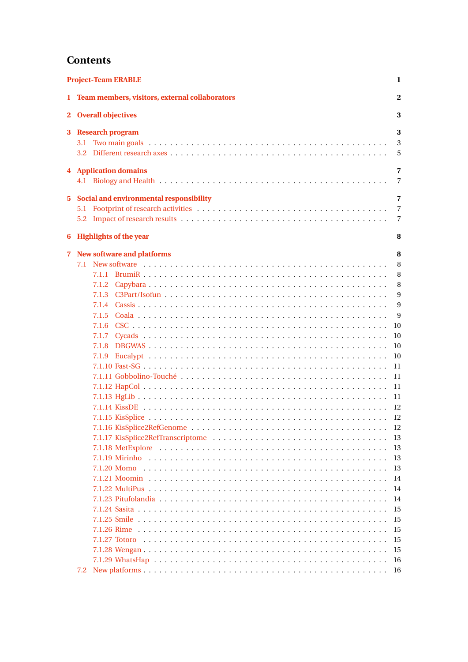# **Contents**

| <b>Project-Team ERABLE</b> |     |                                                                          |                               |  |
|----------------------------|-----|--------------------------------------------------------------------------|-------------------------------|--|
|                            |     | 1 Team members, visitors, external collaborators                         | $\mathbf{2}$                  |  |
|                            |     | 2 Overall objectives                                                     | 3                             |  |
| 3                          |     | <b>Research program</b>                                                  | 3<br>3<br>5                   |  |
|                            |     | <b>4</b> Application domains                                             | 7<br>7                        |  |
| 5.<br>6                    |     | Social and environmental responsibility<br><b>Highlights of the year</b> | 7<br>$\overline{7}$<br>7<br>8 |  |
| 7.                         |     | <b>New software and platforms</b>                                        | 8                             |  |
|                            |     |                                                                          | 8<br>8<br>8                   |  |
|                            |     | 7.1.4                                                                    | 9<br>9                        |  |
|                            |     | 7.1.5                                                                    | 9<br>10                       |  |
|                            |     | 7.1.8                                                                    | 10<br>10<br>10                |  |
|                            |     | 7.1.9                                                                    | 11<br>11                      |  |
|                            |     |                                                                          | 11<br>11                      |  |
|                            |     |                                                                          | 12                            |  |
|                            |     |                                                                          | 13<br>13                      |  |
|                            |     |                                                                          | 13<br>13                      |  |
|                            |     |                                                                          | 14<br>14                      |  |
|                            |     |                                                                          | 14<br>15<br>15                |  |
|                            |     |                                                                          | 15<br>15                      |  |
|                            |     |                                                                          | 15<br>16                      |  |
|                            | 7.2 |                                                                          | 16                            |  |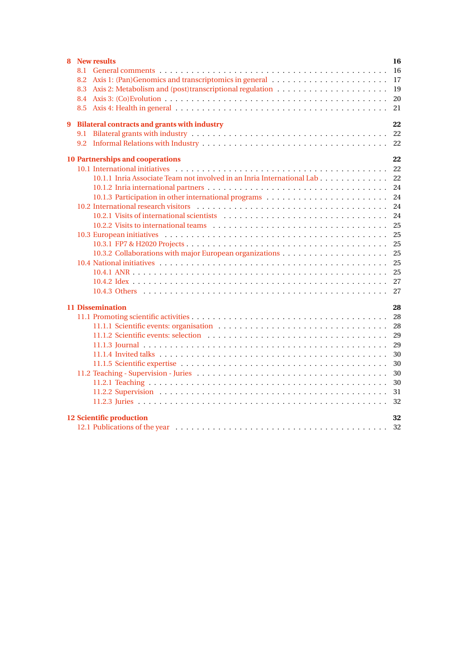| <b>New results</b><br>8                                                |  | 16 |  |  |
|------------------------------------------------------------------------|--|----|--|--|
|                                                                        |  | 16 |  |  |
| 8.2                                                                    |  | 17 |  |  |
| 8.3                                                                    |  | 19 |  |  |
|                                                                        |  | 20 |  |  |
|                                                                        |  | 21 |  |  |
| <b>Bilateral contracts and grants with industry</b><br>9               |  | 22 |  |  |
| 9.1                                                                    |  | 22 |  |  |
| 9.2                                                                    |  |    |  |  |
| <b>10 Partnerships and cooperations</b><br>22                          |  |    |  |  |
|                                                                        |  | 22 |  |  |
| 10.1.1 Inria Associate Team not involved in an Inria International Lab |  | 22 |  |  |
|                                                                        |  | 24 |  |  |
|                                                                        |  | 24 |  |  |
|                                                                        |  | 24 |  |  |
|                                                                        |  | 24 |  |  |
|                                                                        |  | 25 |  |  |
|                                                                        |  | 25 |  |  |
|                                                                        |  | 25 |  |  |
|                                                                        |  | 25 |  |  |
|                                                                        |  | 25 |  |  |
|                                                                        |  | 25 |  |  |
|                                                                        |  | 27 |  |  |
|                                                                        |  | 27 |  |  |
| <b>11 Dissemination</b><br>28                                          |  |    |  |  |
|                                                                        |  | 28 |  |  |
|                                                                        |  | 28 |  |  |
|                                                                        |  | 29 |  |  |
|                                                                        |  | 29 |  |  |
|                                                                        |  | 30 |  |  |
|                                                                        |  | 30 |  |  |
|                                                                        |  | 30 |  |  |
|                                                                        |  | 30 |  |  |
|                                                                        |  | 31 |  |  |
|                                                                        |  | 32 |  |  |
| <b>12 Scientific production</b><br>32                                  |  |    |  |  |
|                                                                        |  |    |  |  |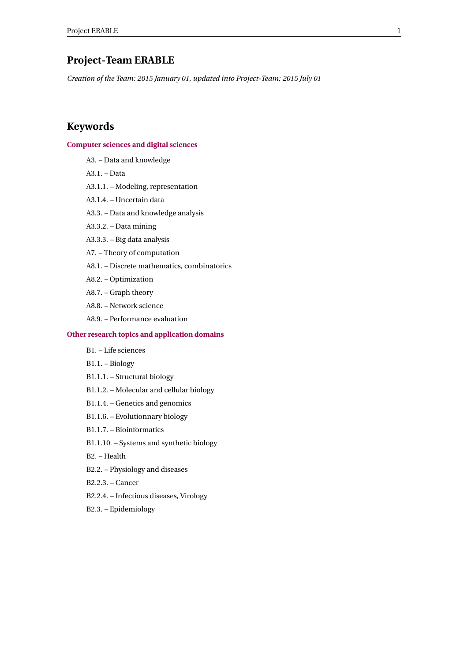# <span id="page-3-0"></span>**Project-Team ERABLE**

*Creation of the Team: 2015 January 01, updated into Project-Team: 2015 July 01*

# **Keywords**

## **[Computer sciences and digital sciences](https://raweb.inria.fr/rapportsactivite/RA2020/static/keywords/ComputerScienceandDigitalScience.html)**

- A3. Data and knowledge
- A3.1. Data
- A3.1.1. Modeling, representation
- A3.1.4. Uncertain data
- A3.3. Data and knowledge analysis
- A3.3.2. Data mining
- A3.3.3. Big data analysis
- A7. Theory of computation
- A8.1. Discrete mathematics, combinatorics
- A8.2. Optimization
- A8.7. Graph theory
- A8.8. Network science
- A8.9. Performance evaluation

## **[Other research topics and application domains](https://raweb.inria.fr/rapportsactivite/RA2020/static/keywords/OtherResearchTopicsandApplicationDomains.html)**

- B1. Life sciences
- B1.1. Biology
- B1.1.1. Structural biology
- B1.1.2. Molecular and cellular biology
- B1.1.4. Genetics and genomics
- B1.1.6. Evolutionnary biology
- B1.1.7. Bioinformatics
- B1.1.10. Systems and synthetic biology
- B2. Health
- B2.2. Physiology and diseases
- B2.2.3. Cancer
- B2.2.4. Infectious diseases, Virology
- B2.3. Epidemiology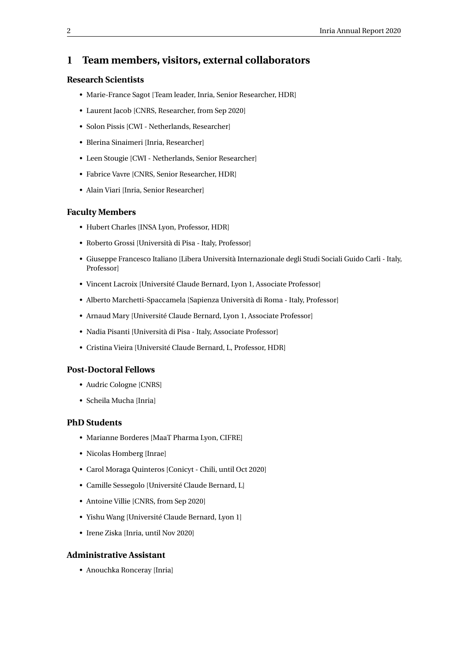# <span id="page-4-0"></span>**1 Team members, visitors, external collaborators**

## **Research Scientists**

- Marie-France Sagot [Team leader, Inria, Senior Researcher, HDR]
- Laurent Jacob [CNRS, Researcher, from Sep 2020]
- Solon Pissis [CWI Netherlands, Researcher]
- Blerina Sinaimeri [Inria, Researcher]
- Leen Stougie [CWI Netherlands, Senior Researcher]
- Fabrice Vavre [CNRS, Senior Researcher, HDR]
- Alain Viari [Inria, Senior Researcher]

## **Faculty Members**

- Hubert Charles [INSA Lyon, Professor, HDR]
- Roberto Grossi [Università di Pisa Italy, Professor]
- Giuseppe Francesco Italiano [Libera Università Internazionale degli Studi Sociali Guido Carli Italy, Professor]
- Vincent Lacroix [Université Claude Bernard, Lyon 1, Associate Professor]
- Alberto Marchetti-Spaccamela [Sapienza Università di Roma Italy, Professor]
- Arnaud Mary [Université Claude Bernard, Lyon 1, Associate Professor]
- Nadia Pisanti [Università di Pisa Italy, Associate Professor]
- Cristina Vieira [Université Claude Bernard, L, Professor, HDR]

## **Post-Doctoral Fellows**

- Audric Cologne [CNRS]
- Scheila Mucha [Inria]

## **PhD Students**

- Marianne Borderes [MaaT Pharma Lyon, CIFRE]
- Nicolas Homberg [Inrae]
- Carol Moraga Quinteros [Conicyt Chili, until Oct 2020]
- Camille Sessegolo [Université Claude Bernard, L]
- Antoine Villie [CNRS, from Sep 2020]
- Yishu Wang [Université Claude Bernard, Lyon 1]
- Irene Ziska [Inria, until Nov 2020]

## **Administrative Assistant**

• Anouchka Ronceray [Inria]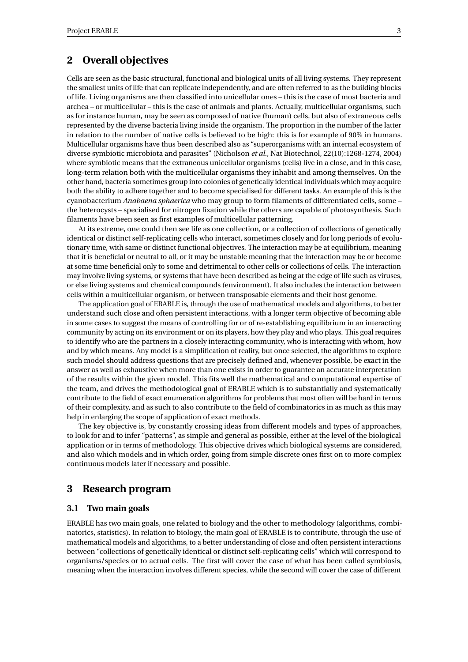# <span id="page-5-0"></span>**2 Overall objectives**

Cells are seen as the basic structural, functional and biological units of all living systems. They represent the smallest units of life that can replicate independently, and are often referred to as the building blocks of life. Living organisms are then classified into unicellular ones – this is the case of most bacteria and archea – or multicellular – this is the case of animals and plants. Actually, multicellular organisms, such as for instance human, may be seen as composed of native (human) cells, but also of extraneous cells represented by the diverse bacteria living inside the organism. The proportion in the number of the latter in relation to the number of native cells is believed to be high: this is for example of 90% in humans. Multicellular organisms have thus been described also as "superorganisms with an internal ecosystem of diverse symbiotic microbiota and parasites" (Nicholson *et al.*, Nat Biotechnol, 22(10):1268-1274, 2004) where symbiotic means that the extraneous unicellular organisms (cells) live in a close, and in this case, long-term relation both with the multicellular organisms they inhabit and among themselves. On the other hand, bacteria sometimes group into colonies of genetically identical individuals which may acquire both the ability to adhere together and to become specialised for different tasks. An example of this is the cyanobacterium *Anabaena sphaerica* who may group to form filaments of differentiated cells, some – the heterocysts – specialised for nitrogen fixation while the others are capable of photosynthesis. Such filaments have been seen as first examples of multicellular patterning.

At its extreme, one could then see life as one collection, or a collection of collections of genetically identical or distinct self-replicating cells who interact, sometimes closely and for long periods of evolutionary time, with same or distinct functional objectives. The interaction may be at equilibrium, meaning that it is beneficial or neutral to all, or it may be unstable meaning that the interaction may be or become at some time beneficial only to some and detrimental to other cells or collections of cells. The interaction may involve living systems, or systems that have been described as being at the edge of life such as viruses, or else living systems and chemical compounds (environment). It also includes the interaction between cells within a multicellular organism, or between transposable elements and their host genome.

The application goal of ERABLE is, through the use of mathematical models and algorithms, to better understand such close and often persistent interactions, with a longer term objective of becoming able in some cases to suggest the means of controlling for or of re-establishing equilibrium in an interacting community by acting on its environment or on its players, how they play and who plays. This goal requires to identify who are the partners in a closely interacting community, who is interacting with whom, how and by which means. Any model is a simplification of reality, but once selected, the algorithms to explore such model should address questions that are precisely defined and, whenever possible, be exact in the answer as well as exhaustive when more than one exists in order to guarantee an accurate interpretation of the results within the given model. This fits well the mathematical and computational expertise of the team, and drives the methodological goal of ERABLE which is to substantially and systematically contribute to the field of exact enumeration algorithms for problems that most often will be hard in terms of their complexity, and as such to also contribute to the field of combinatorics in as much as this may help in enlarging the scope of application of exact methods.

The key objective is, by constantly crossing ideas from different models and types of approaches, to look for and to infer "patterns", as simple and general as possible, either at the level of the biological application or in terms of methodology. This objective drives which biological systems are considered, and also which models and in which order, going from simple discrete ones first on to more complex continuous models later if necessary and possible.

## <span id="page-5-1"></span>**3 Research program**

## <span id="page-5-2"></span>**3.1 Two main goals**

ERABLE has two main goals, one related to biology and the other to methodology (algorithms, combinatorics, statistics). In relation to biology, the main goal of ERABLE is to contribute, through the use of mathematical models and algorithms, to a better understanding of close and often persistent interactions between "collections of genetically identical or distinct self-replicating cells" which will correspond to organisms/species or to actual cells. The first will cover the case of what has been called symbiosis, meaning when the interaction involves different species, while the second will cover the case of different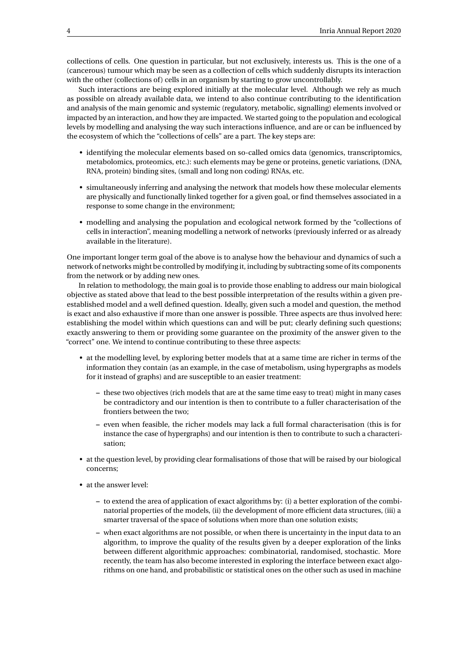collections of cells. One question in particular, but not exclusively, interests us. This is the one of a (cancerous) tumour which may be seen as a collection of cells which suddenly disrupts its interaction with the other (collections of) cells in an organism by starting to grow uncontrollably.

Such interactions are being explored initially at the molecular level. Although we rely as much as possible on already available data, we intend to also continue contributing to the identification and analysis of the main genomic and systemic (regulatory, metabolic, signalling) elements involved or impacted by an interaction, and how they are impacted. We started going to the population and ecological levels by modelling and analysing the way such interactions influence, and are or can be influenced by the ecosystem of which the "collections of cells" are a part. The key steps are:

- identifying the molecular elements based on so-called omics data (genomics, transcriptomics, metabolomics, proteomics, etc.): such elements may be gene or proteins, genetic variations, (DNA, RNA, protein) binding sites, (small and long non coding) RNAs, etc.
- simultaneously inferring and analysing the network that models how these molecular elements are physically and functionally linked together for a given goal, or find themselves associated in a response to some change in the environment;
- modelling and analysing the population and ecological network formed by the "collections of cells in interaction", meaning modelling a network of networks (previously inferred or as already available in the literature).

One important longer term goal of the above is to analyse how the behaviour and dynamics of such a network of networks might be controlled by modifying it, including by subtracting some of its components from the network or by adding new ones.

In relation to methodology, the main goal is to provide those enabling to address our main biological objective as stated above that lead to the best possible interpretation of the results within a given preestablished model and a well defined question. Ideally, given such a model and question, the method is exact and also exhaustive if more than one answer is possible. Three aspects are thus involved here: establishing the model within which questions can and will be put; clearly defining such questions; exactly answering to them or providing some guarantee on the proximity of the answer given to the "correct" one. We intend to continue contributing to these three aspects:

- at the modelling level, by exploring better models that at a same time are richer in terms of the information they contain (as an example, in the case of metabolism, using hypergraphs as models for it instead of graphs) and are susceptible to an easier treatment:
	- **–** these two objectives (rich models that are at the same time easy to treat) might in many cases be contradictory and our intention is then to contribute to a fuller characterisation of the frontiers between the two;
	- **–** even when feasible, the richer models may lack a full formal characterisation (this is for instance the case of hypergraphs) and our intention is then to contribute to such a characterisation;
- at the question level, by providing clear formalisations of those that will be raised by our biological concerns;
- at the answer level:
	- **–** to extend the area of application of exact algorithms by: (i) a better exploration of the combinatorial properties of the models, (ii) the development of more efficient data structures, (iii) a smarter traversal of the space of solutions when more than one solution exists;
	- **–** when exact algorithms are not possible, or when there is uncertainty in the input data to an algorithm, to improve the quality of the results given by a deeper exploration of the links between different algorithmic approaches: combinatorial, randomised, stochastic. More recently, the team has also become interested in exploring the interface between exact algorithms on one hand, and probabilistic or statistical ones on the other such as used in machine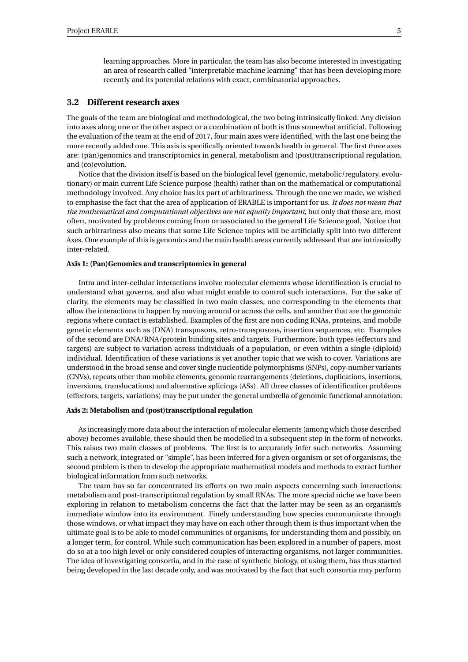learning approaches. More in particular, the team has also become interested in investigating an area of research called "interpretable machine learning" that has been developing more recently and its potential relations with exact, combinatorial approaches.

## <span id="page-7-0"></span>**3.2 Different research axes**

The goals of the team are biological and methodological, the two being intrinsically linked. Any division into axes along one or the other aspect or a combination of both is thus somewhat artificial. Following the evaluation of the team at the end of 2017, four main axes were identified, with the last one being the more recently added one. This axis is specifically oriented towards health in general. The first three axes are: (pan)genomics and transcriptomics in general, metabolism and (post)transcriptional regulation, and (co)evolution.

Notice that the division itself is based on the biological level (genomic, metabolic/regulatory, evolutionary) or main current Life Science purpose (health) rather than on the mathematical or computational methodology involved. Any choice has its part of arbitrariness. Through the one we made, we wished to emphasise the fact that the area of application of ERABLE is important for us. *It does not mean that the mathematical and computational objectives are not equally important*, but only that those are, most often, motivated by problems coming from or associated to the general Life Science goal. Notice that such arbitrariness also means that some Life Science topics will be artificially split into two different Axes. One example of this is genomics and the main health areas currently addressed that are intrinsically inter-related.

#### **Axis 1: (Pan)Genomics and transcriptomics in general**

Intra and inter-cellular interactions involve molecular elements whose identification is crucial to understand what governs, and also what might enable to control such interactions. For the sake of clarity, the elements may be classified in two main classes, one corresponding to the elements that allow the interactions to happen by moving around or across the cells, and another that are the genomic regions where contact is established. Examples of the first are non coding RNAs, proteins, and mobile genetic elements such as (DNA) transposons, retro-transposons, insertion sequences, etc. Examples of the second are DNA/RNA/protein binding sites and targets. Furthermore, both types (effectors and targets) are subject to variation across individuals of a population, or even within a single (diploid) individual. Identification of these variations is yet another topic that we wish to cover. Variations are understood in the broad sense and cover single nucleotide polymorphisms (SNPs), copy-number variants (CNVs), repeats other than mobile elements, genomic rearrangements (deletions, duplications, insertions, inversions, translocations) and alternative splicings (ASs). All three classes of identification problems (effectors, targets, variations) may be put under the general umbrella of genomic functional annotation.

## **Axis 2: Metabolism and (post)transcriptional regulation**

As increasingly more data about the interaction of molecular elements (among which those described above) becomes available, these should then be modelled in a subsequent step in the form of networks. This raises two main classes of problems. The first is to accurately infer such networks. Assuming such a network, integrated or "simple", has been inferred for a given organism or set of organisms, the second problem is then to develop the appropriate mathematical models and methods to extract further biological information from such networks.

The team has so far concentrated its efforts on two main aspects concerning such interactions: metabolism and post-transcriptional regulation by small RNAs. The more special niche we have been exploring in relation to metabolism concerns the fact that the latter may be seen as an organism's immediate window into its environment. Finely understanding how species communicate through those windows, or what impact they may have on each other through them is thus important when the ultimate goal is to be able to model communities of organisms, for understanding them and possibly, on a longer term, for control. While such communication has been explored in a number of papers, most do so at a too high level or only considered couples of interacting organisms, not larger communities. The idea of investigating consortia, and in the case of synthetic biology, of using them, has thus started being developed in the last decade only, and was motivated by the fact that such consortia may perform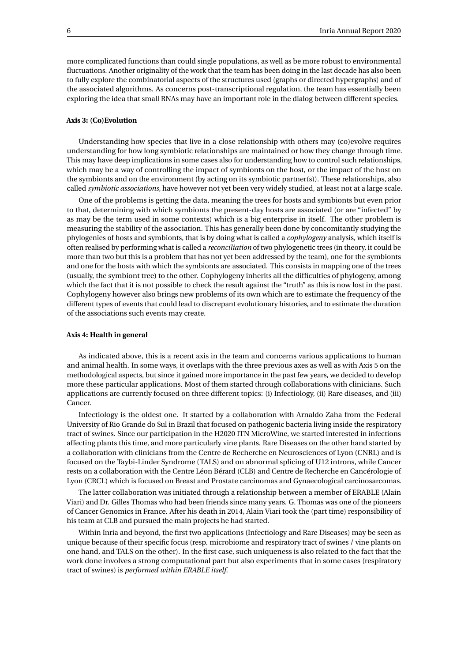more complicated functions than could single populations, as well as be more robust to environmental fluctuations. Another originality of the work that the team has been doing in the last decade has also been to fully explore the combinatorial aspects of the structures used (graphs or directed hypergraphs) and of the associated algorithms. As concerns post-transcriptional regulation, the team has essentially been exploring the idea that small RNAs may have an important role in the dialog between different species.

#### **Axis 3: (Co)Evolution**

Understanding how species that live in a close relationship with others may (co)evolve requires understanding for how long symbiotic relationships are maintained or how they change through time. This may have deep implications in some cases also for understanding how to control such relationships, which may be a way of controlling the impact of symbionts on the host, or the impact of the host on the symbionts and on the environment (by acting on its symbiotic partner(s)). These relationships, also called *symbiotic associations*, have however not yet been very widely studied, at least not at a large scale.

One of the problems is getting the data, meaning the trees for hosts and symbionts but even prior to that, determining with which symbionts the present-day hosts are associated (or are "infected" by as may be the term used in some contexts) which is a big enterprise in itself. The other problem is measuring the stability of the association. This has generally been done by concomitantly studying the phylogenies of hosts and symbionts, that is by doing what is called a *cophylogeny* analysis, which itself is often realised by performing what is called a *reconciliation* of two phylogenetic trees (in theory, it could be more than two but this is a problem that has not yet been addressed by the team), one for the symbionts and one for the hosts with which the symbionts are associated. This consists in mapping one of the trees (usually, the symbiont tree) to the other. Cophylogeny inherits all the difficulties of phylogeny, among which the fact that it is not possible to check the result against the "truth" as this is now lost in the past. Cophylogeny however also brings new problems of its own which are to estimate the frequency of the different types of events that could lead to discrepant evolutionary histories, and to estimate the duration of the associations such events may create.

#### **Axis 4: Health in general**

As indicated above, this is a recent axis in the team and concerns various applications to human and animal health. In some ways, it overlaps with the three previous axes as well as with Axis 5 on the methodological aspects, but since it gained more importance in the past few years, we decided to develop more these particular applications. Most of them started through collaborations with clinicians. Such applications are currently focused on three different topics: (i) Infectiology, (ii) Rare diseases, and (iii) Cancer.

Infectiology is the oldest one. It started by a collaboration with Arnaldo Zaha from the Federal University of Rio Grande do Sul in Brazil that focused on pathogenic bacteria living inside the respiratory tract of swines. Since our participation in the H2020 ITN MicroWine, we started interested in infections affecting plants this time, and more particularly vine plants. Rare Diseases on the other hand started by a collaboration with clinicians from the Centre de Recherche en Neurosciences of Lyon (CNRL) and is focused on the Taybi-Linder Syndrome (TALS) and on abnormal splicing of U12 introns, while Cancer rests on a collaboration with the Centre Léon Bérard (CLB) and Centre de Recherche en Cancérologie of Lyon (CRCL) which is focused on Breast and Prostate carcinomas and Gynaecological carcinosarcomas.

The latter collaboration was initiated through a relationship between a member of ERABLE (Alain Viari) and Dr. Gilles Thomas who had been friends since many years. G. Thomas was one of the pioneers of Cancer Genomics in France. After his death in 2014, Alain Viari took the (part time) responsibility of his team at CLB and pursued the main projects he had started.

Within Inria and beyond, the first two applications (Infectiology and Rare Diseases) may be seen as unique because of their specific focus (resp. microbiome and respiratory tract of swines / vine plants on one hand, and TALS on the other). In the first case, such uniqueness is also related to the fact that the work done involves a strong computational part but also experiments that in some cases (respiratory tract of swines) is *performed within ERABLE itself*.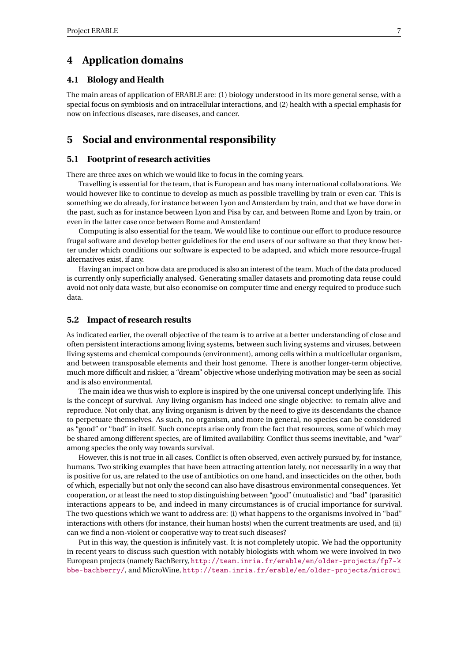# <span id="page-9-0"></span>**4 Application domains**

## <span id="page-9-1"></span>**4.1 Biology and Health**

The main areas of application of ERABLE are: (1) biology understood in its more general sense, with a special focus on symbiosis and on intracellular interactions, and (2) health with a special emphasis for now on infectious diseases, rare diseases, and cancer.

# <span id="page-9-2"></span>**5 Social and environmental responsibility**

## <span id="page-9-3"></span>**5.1 Footprint of research activities**

There are three axes on which we would like to focus in the coming years.

Travelling is essential for the team, that is European and has many international collaborations. We would however like to continue to develop as much as possible travelling by train or even car. This is something we do already, for instance between Lyon and Amsterdam by train, and that we have done in the past, such as for instance between Lyon and Pisa by car, and between Rome and Lyon by train, or even in the latter case once between Rome and Amsterdam!

Computing is also essential for the team. We would like to continue our effort to produce resource frugal software and develop better guidelines for the end users of our software so that they know better under which conditions our software is expected to be adapted, and which more resource-frugal alternatives exist, if any.

Having an impact on how data are produced is also an interest of the team. Much of the data produced is currently only superficially analysed. Generating smaller datasets and promoting data reuse could avoid not only data waste, but also economise on computer time and energy required to produce such data.

## <span id="page-9-4"></span>**5.2 Impact of research results**

As indicated earlier, the overall objective of the team is to arrive at a better understanding of close and often persistent interactions among living systems, between such living systems and viruses, between living systems and chemical compounds (environment), among cells within a multicellular organism, and between transposable elements and their host genome. There is another longer-term objective, much more difficult and riskier, a "dream" objective whose underlying motivation may be seen as social and is also environmental.

The main idea we thus wish to explore is inspired by the one universal concept underlying life. This is the concept of survival. Any living organism has indeed one single objective: to remain alive and reproduce. Not only that, any living organism is driven by the need to give its descendants the chance to perpetuate themselves. As such, no organism, and more in general, no species can be considered as "good" or "bad" in itself. Such concepts arise only from the fact that resources, some of which may be shared among different species, are of limited availability. Conflict thus seems inevitable, and "war" among species the only way towards survival.

However, this is not true in all cases. Conflict is often observed, even actively pursued by, for instance, humans. Two striking examples that have been attracting attention lately, not necessarily in a way that is positive for us, are related to the use of antibiotics on one hand, and insecticides on the other, both of which, especially but not only the second can also have disastrous environmental consequences. Yet cooperation, or at least the need to stop distinguishing between "good" (mutualistic) and "bad" (parasitic) interactions appears to be, and indeed in many circumstances is of crucial importance for survival. The two questions which we want to address are: (i) what happens to the organisms involved in "bad" interactions with others (for instance, their human hosts) when the current treatments are used, and (ii) can we find a non-violent or cooperative way to treat such diseases?

Put in this way, the question is infinitely vast. It is not completely utopic. We had the opportunity in recent years to discuss such question with notably biologists with whom we were involved in two European projects (namely BachBerry, [http://team.inria.fr/erable/en/older-projects/fp7-k](http://team.inria.fr/erable/en/older-projects/fp7-kbbe-bachberry/) [bbe-bachberry/](http://team.inria.fr/erable/en/older-projects/fp7-kbbe-bachberry/), and MicroWine, [http://team.inria.fr/erable/en/older-projects/microwi](http://team.inria.fr/erable/en/older-projects/microwine/)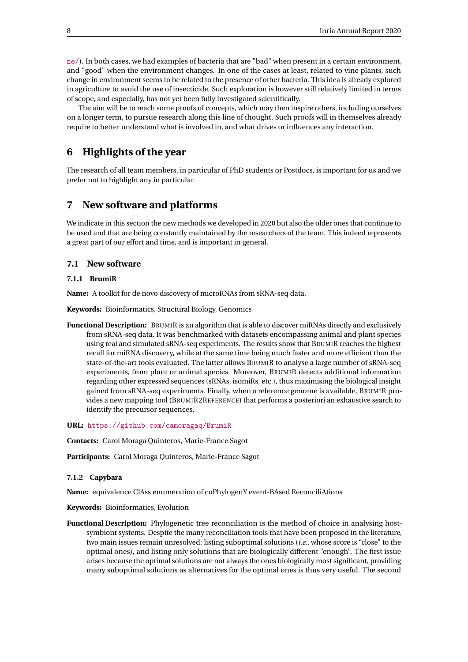[ne/](http://team.inria.fr/erable/en/older-projects/microwine/)). In both cases, we had examples of bacteria that are "bad" when present in a certain environment, and "good" when the environment changes. In one of the cases at least, related to vine plants, such change in environment seems to be related to the presence of other bacteria. This idea is already explored in agriculture to avoid the use of insecticide. Such exploration is however still relatively limited in terms of scope, and especially, has not yet been fully investigated scientifically.

The aim will be to reach some proofs of concepts, which may then inspire others, including ourselves on a longer term, to pursue research along this line of thought. Such proofs will in themselves already require to better understand what is involved in, and what drives or influences any interaction.

# <span id="page-10-0"></span>**6 Highlights of the year**

The research of all team members, in particular of PhD students or Postdocs, is important for us and we prefer not to highlight any in particular.

## <span id="page-10-1"></span>**7 New software and platforms**

We indicate in this section the new methods we developed in 2020 but also the older ones that continue to be used and that are being constantly maintained by the researchers of the team. This indeed represents a great part of our effort and time, and is important in general.

## <span id="page-10-2"></span>**7.1 New software**

## <span id="page-10-3"></span>**7.1.1 BrumiR**

**Name:** A toolkit for de novo discovery of microRNAs from sRNA-seq data.

**Keywords:** Bioinformatics, Structural Biology, Genomics

**Functional Description:** BRUMIR is an algorithm that is able to discover miRNAs directly and exclusively from sRNA-seq data. It was benchmarked with datasets encompassing animal and plant species using real and simulated sRNA-seq experiments. The results show that BRUMIR reaches the highest recall for miRNA discovery, while at the same time being much faster and more efficient than the state-of-the-art tools evaluated. The latter allows BRUMIR to analyse a large number of sRNA-seq experiments, from plant or animal species. Moreover, BRUMIR detects additional information regarding other expressed sequences (sRNAs, isomiRs, etc.), thus maximising the biological insight gained from sRNA-seq experiments. Finally, when a reference genome is available, BRUMIR provides a new mapping tool (BRUMIR2REFERENCE) that performs a posteriori an exhaustive search to identify the precursor sequences.

**URL:** <https://github.com/camoragaq/BrumiR>

**Contacts:** Carol Moraga Quinteros, Marie-France Sagot

**Participants:** Carol Moraga Quinteros, Marie-France Sagot

## <span id="page-10-4"></span>**7.1.2 Capybara**

**Name:** equivalence ClAss enumeration of coPhylogenY event-BAsed ReconciliAtions

**Keywords:** Bioinformatics, Evolution

**Functional Description:** Phylogenetic tree reconciliation is the method of choice in analysing hostsymbiont systems. Despite the many reconciliation tools that have been proposed in the literature, two main issues remain unresolved: listing suboptimal solutions (*i.e.*, whose score is "close" to the optimal ones), and listing only solutions that are biologically different "enough". The first issue arises because the optimal solutions are not always the ones biologically most significant, providing many suboptimal solutions as alternatives for the optimal ones is thus very useful. The second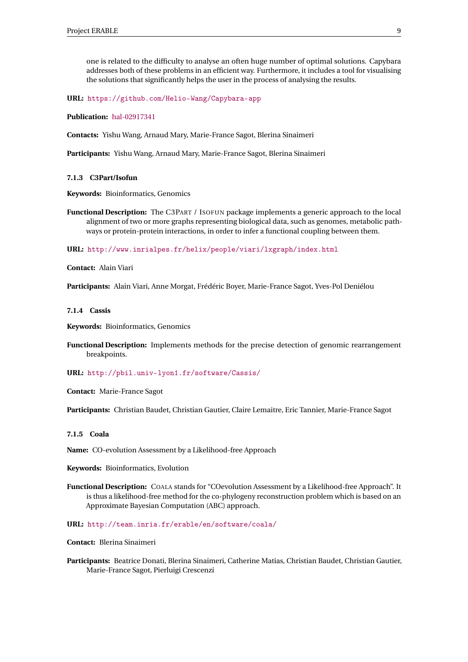one is related to the difficulty to analyse an often huge number of optimal solutions. Capybara addresses both of these problems in an efficient way. Furthermore, it includes a tool for visualising the solutions that significantly helps the user in the process of analysing the results.

**URL:** <https://github.com/Helio-Wang/Capybara-app>

**Publication:** [hal-02917341](https://hal.inria.fr/hal-02917341)

**Contacts:** Yishu Wang, Arnaud Mary, Marie-France Sagot, Blerina Sinaimeri

**Participants:** Yishu Wang, Arnaud Mary, Marie-France Sagot, Blerina Sinaimeri

#### <span id="page-11-0"></span>**7.1.3 C3Part/Isofun**

**Keywords:** Bioinformatics, Genomics

**Functional Description:** The C3PART / ISOFUN package implements a generic approach to the local alignment of two or more graphs representing biological data, such as genomes, metabolic pathways or protein-protein interactions, in order to infer a functional coupling between them.

**URL:** <http://www.inrialpes.fr/helix/people/viari/lxgraph/index.html>

**Contact:** Alain Viari

**Participants:** Alain Viari, Anne Morgat, Frédéric Boyer, Marie-France Sagot, Yves-Pol Deniélou

#### <span id="page-11-1"></span>**7.1.4 Cassis**

**Keywords:** Bioinformatics, Genomics

**Functional Description:** Implements methods for the precise detection of genomic rearrangement breakpoints.

#### **URL:** <http://pbil.univ-lyon1.fr/software/Cassis/>

**Contact:** Marie-France Sagot

**Participants:** Christian Baudet, Christian Gautier, Claire Lemaitre, Eric Tannier, Marie-France Sagot

#### <span id="page-11-2"></span>**7.1.5 Coala**

**Name:** CO-evolution Assessment by a Likelihood-free Approach

**Keywords:** Bioinformatics, Evolution

**Functional Description:** COALA stands for "COevolution Assessment by a Likelihood-free Approach". It is thus a likelihood-free method for the co-phylogeny reconstruction problem which is based on an Approximate Bayesian Computation (ABC) approach.

#### **URL:** <http://team.inria.fr/erable/en/software/coala/>

## **Contact:** Blerina Sinaimeri

**Participants:** Beatrice Donati, Blerina Sinaimeri, Catherine Matias, Christian Baudet, Christian Gautier, Marie-France Sagot, Pierluigi Crescenzi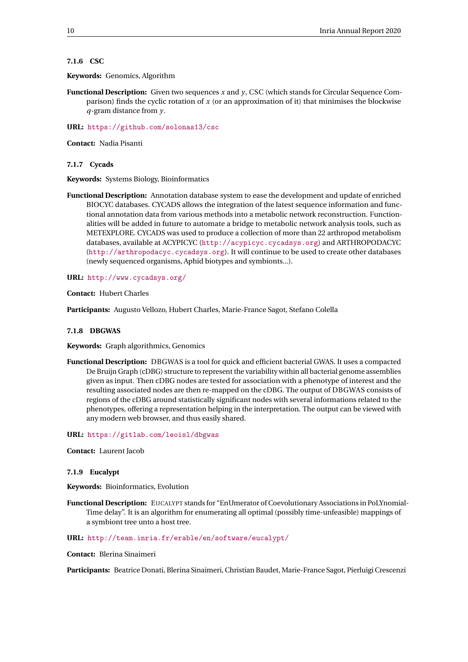## <span id="page-12-0"></span>**7.1.6 CSC**

**Keywords:** Genomics, Algorithm

**Functional Description:** Given two sequences *x* and *y*, CSC (which stands for Circular Sequence Comparison) finds the cyclic rotation of *x* (or an approximation of it) that minimises the blockwise *q*-gram distance from *y*.

**URL:** <https://github.com/solonas13/csc>

**Contact:** Nadia Pisanti

<span id="page-12-1"></span>**7.1.7 Cycads**

**Keywords:** Systems Biology, Bioinformatics

**Functional Description:** Annotation database system to ease the development and update of enriched BIOCYC databases. CYCADS allows the integration of the latest sequence information and functional annotation data from various methods into a metabolic network reconstruction. Functionalities will be added in future to automate a bridge to metabolic network analysis tools, such as METEXPLORE. CYCADS was used to produce a collection of more than 22 arthropod metabolism databases, available at ACYPICYC (<http://acypicyc.cycadsys.org>) and ARTHROPODACYC ([http://arthropodacyc.cycadsys.org](http:// arthropodacyc.cycadsys.org)). It will continue to be used to create other databases (newly sequenced organisms, Aphid biotypes and symbionts...).

**URL:** <http://www.cycadsys.org/>

**Contact:** Hubert Charles

**Participants:** Augusto Vellozo, Hubert Charles, Marie-France Sagot, Stefano Colella

## <span id="page-12-2"></span>**7.1.8 DBGWAS**

**Keywords:** Graph algorithmics, Genomics

**Functional Description:** DBGWAS is a tool for quick and efficient bacterial GWAS. It uses a compacted De Bruijn Graph (cDBG) structure to represent the variability within all bacterial genome assemblies given as input. Then cDBG nodes are tested for association with a phenotype of interest and the resulting associated nodes are then re-mapped on the cDBG. The output of DBGWAS consists of regions of the cDBG around statistically significant nodes with several informations related to the phenotypes, offering a representation helping in the interpretation. The output can be viewed with any modern web browser, and thus easily shared.

**URL:** <https://gitlab.com/leoisl/dbgwas>

**Contact:** Laurent Jacob

## <span id="page-12-3"></span>**7.1.9 Eucalypt**

**Keywords:** Bioinformatics, Evolution

**Functional Description:** EUCALYPT stands for "EnUmerator of Coevolutionary Associations in PoLYnomial-Time delay". It is an algorithm for enumerating all optimal (possibly time-unfeasible) mappings of a symbiont tree unto a host tree.

#### **URL:** <http://team.inria.fr/erable/en/software/eucalypt/>

**Contact:** Blerina Sinaimeri

**Participants:** Beatrice Donati, Blerina Sinaimeri, Christian Baudet, Marie-France Sagot, Pierluigi Crescenzi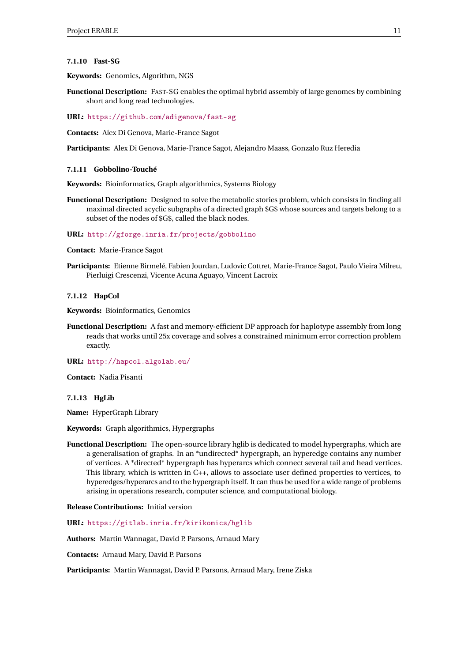#### <span id="page-13-0"></span>**7.1.10 Fast-SG**

**Keywords:** Genomics, Algorithm, NGS

**Functional Description:** FAST-SG enables the optimal hybrid assembly of large genomes by combining short and long read technologies.

**URL:** <https://github.com/adigenova/fast-sg>

**Contacts:** Alex Di Genova, Marie-France Sagot

**Participants:** Alex Di Genova, Marie-France Sagot, Alejandro Maass, Gonzalo Ruz Heredia

#### <span id="page-13-1"></span>**7.1.11 Gobbolino-Touché**

**Keywords:** Bioinformatics, Graph algorithmics, Systems Biology

**Functional Description:** Designed to solve the metabolic stories problem, which consists in finding all maximal directed acyclic subgraphs of a directed graph \$G\$ whose sources and targets belong to a subset of the nodes of \$G\$, called the black nodes.

## **URL:** <http://gforge.inria.fr/projects/gobbolino>

**Contact:** Marie-France Sagot

**Participants:** Etienne Birmelé, Fabien Jourdan, Ludovic Cottret, Marie-France Sagot, Paulo Vieira Milreu, Pierluigi Crescenzi, Vicente Acuna Aguayo, Vincent Lacroix

## <span id="page-13-2"></span>**7.1.12 HapCol**

**Keywords:** Bioinformatics, Genomics

**Functional Description:** A fast and memory-efficient DP approach for haplotype assembly from long reads that works until 25x coverage and solves a constrained minimum error correction problem exactly.

**URL:** <http://hapcol.algolab.eu/>

**Contact:** Nadia Pisanti

## <span id="page-13-3"></span>**7.1.13 HgLib**

**Name:** HyperGraph Library

**Keywords:** Graph algorithmics, Hypergraphs

**Functional Description:** The open-source library hglib is dedicated to model hypergraphs, which are a generalisation of graphs. In an \*undirected\* hypergraph, an hyperedge contains any number of vertices. A \*directed\* hypergraph has hyperarcs which connect several tail and head vertices. This library, which is written in C++, allows to associate user defined properties to vertices, to hyperedges/hyperarcs and to the hypergraph itself. It can thus be used for a wide range of problems arising in operations research, computer science, and computational biology.

**Release Contributions:** Initial version

**URL:** <https://gitlab.inria.fr/kirikomics/hglib>

**Authors:** Martin Wannagat, David P. Parsons, Arnaud Mary

**Contacts:** Arnaud Mary, David P. Parsons

**Participants:** Martin Wannagat, David P. Parsons, Arnaud Mary, Irene Ziska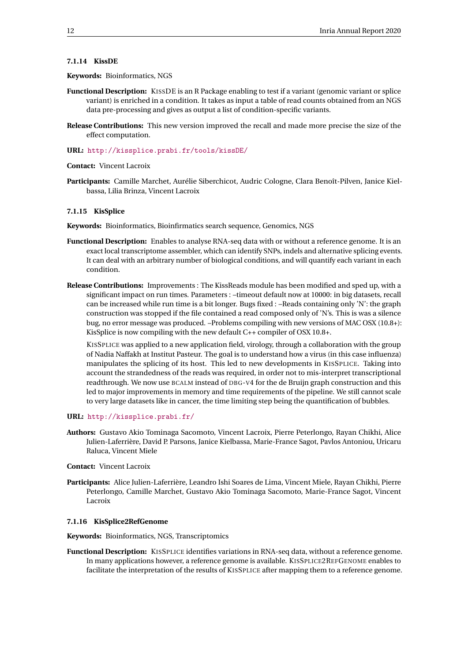## <span id="page-14-0"></span>**7.1.14 KissDE**

#### **Keywords:** Bioinformatics, NGS

- **Functional Description:** KISSDE is an R Package enabling to test if a variant (genomic variant or splice variant) is enriched in a condition. It takes as input a table of read counts obtained from an NGS data pre-processing and gives as output a list of condition-specific variants.
- **Release Contributions:** This new version improved the recall and made more precise the size of the effect computation.
- **URL:** <http://kissplice.prabi.fr/tools/kissDE/>

```
Contact: Vincent Lacroix
```
**Participants:** Camille Marchet, Aurélie Siberchicot, Audric Cologne, Clara Benoît-Pilven, Janice Kielbassa, Lilia Brinza, Vincent Lacroix

## <span id="page-14-1"></span>**7.1.15 KisSplice**

**Keywords:** Bioinformatics, Bioinfirmatics search sequence, Genomics, NGS

- **Functional Description:** Enables to analyse RNA-seq data with or without a reference genome. It is an exact local transcriptome assembler, which can identify SNPs, indels and alternative splicing events. It can deal with an arbitrary number of biological conditions, and will quantify each variant in each condition.
- **Release Contributions:** Improvements : The KissReads module has been modified and sped up, with a significant impact on run times. Parameters : –timeout default now at 10000: in big datasets, recall can be increased while run time is a bit longer. Bugs fixed : –Reads containing only 'N': the graph construction was stopped if the file contained a read composed only of 'N's. This is was a silence bug, no error message was produced. –Problems compiling with new versions of MAC OSX (10.8+): KisSplice is now compiling with the new default C++ compiler of OSX 10.8+.

KISSPLICE was applied to a new application field, virology, through a collaboration with the group of Nadia Naffakh at Institut Pasteur. The goal is to understand how a virus (in this case influenza) manipulates the splicing of its host. This led to new developments in KISSPLICE. Taking into account the strandedness of the reads was required, in order not to mis-interpret transcriptional readthrough. We now use BCALM instead of DBG-V4 for the de Bruijn graph construction and this led to major improvements in memory and time requirements of the pipeline. We still cannot scale to very large datasets like in cancer, the time limiting step being the quantification of bubbles.

## **URL:** <http://kissplice.prabi.fr/>

- **Authors:** Gustavo Akio Tominaga Sacomoto, Vincent Lacroix, Pierre Peterlongo, Rayan Chikhi, Alice Julien-Laferrière, David P. Parsons, Janice Kielbassa, Marie-France Sagot, Pavlos Antoniou, Uricaru Raluca, Vincent Miele
- **Contact:** Vincent Lacroix
- **Participants:** Alice Julien-Laferrière, Leandro Ishi Soares de Lima, Vincent Miele, Rayan Chikhi, Pierre Peterlongo, Camille Marchet, Gustavo Akio Tominaga Sacomoto, Marie-France Sagot, Vincent Lacroix

## <span id="page-14-2"></span>**7.1.16 KisSplice2RefGenome**

**Keywords:** Bioinformatics, NGS, Transcriptomics

**Functional Description:** KISSPLICE identifies variations in RNA-seq data, without a reference genome. In many applications however, a reference genome is available. KISSPLICE2REFGENOME enables to facilitate the interpretation of the results of KISSPLICE after mapping them to a reference genome.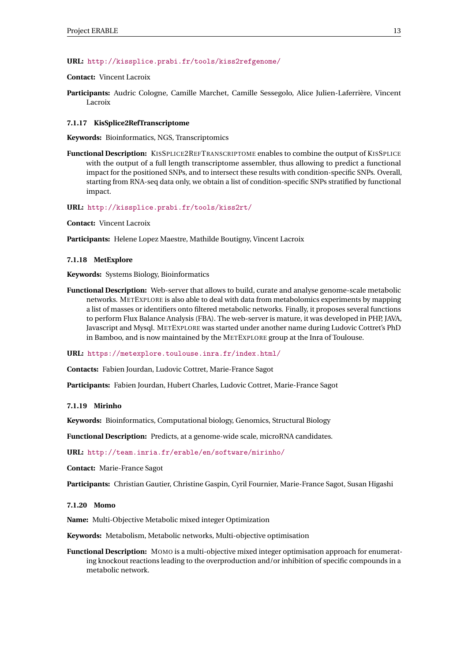## **URL:** <http://kissplice.prabi.fr/tools/kiss2refgenome/>

## **Contact:** Vincent Lacroix

**Participants:** Audric Cologne, Camille Marchet, Camille Sessegolo, Alice Julien-Laferrière, Vincent Lacroix

#### <span id="page-15-0"></span>**7.1.17 KisSplice2RefTranscriptome**

**Keywords:** Bioinformatics, NGS, Transcriptomics

**Functional Description:** KISSPLICE2REFTRANSCRIPTOME enables to combine the output of KISSPLICE with the output of a full length transcriptome assembler, thus allowing to predict a functional impact for the positioned SNPs, and to intersect these results with condition-specific SNPs. Overall, starting from RNA-seq data only, we obtain a list of condition-specific SNPs stratified by functional impact.

#### **URL:** <http://kissplice.prabi.fr/tools/kiss2rt/>

**Contact:** Vincent Lacroix

**Participants:** Helene Lopez Maestre, Mathilde Boutigny, Vincent Lacroix

#### <span id="page-15-1"></span>**7.1.18 MetExplore**

**Keywords:** Systems Biology, Bioinformatics

**Functional Description:** Web-server that allows to build, curate and analyse genome-scale metabolic networks. METEXPLORE is also able to deal with data from metabolomics experiments by mapping a list of masses or identifiers onto filtered metabolic networks. Finally, it proposes several functions to perform Flux Balance Analysis (FBA). The web-server is mature, it was developed in PHP, JAVA, Javascript and Mysql. METEXPLORE was started under another name during Ludovic Cottret's PhD in Bamboo, and is now maintained by the METEXPLORE group at the Inra of Toulouse.

**URL:** <https://metexplore.toulouse.inra.fr/index.html/>

**Contacts:** Fabien Jourdan, Ludovic Cottret, Marie-France Sagot

**Participants:** Fabien Jourdan, Hubert Charles, Ludovic Cottret, Marie-France Sagot

## <span id="page-15-2"></span>**7.1.19 Mirinho**

**Keywords:** Bioinformatics, Computational biology, Genomics, Structural Biology

**Functional Description:** Predicts, at a genome-wide scale, microRNA candidates.

**URL:** <http://team.inria.fr/erable/en/software/mirinho/>

**Contact:** Marie-France Sagot

**Participants:** Christian Gautier, Christine Gaspin, Cyril Fournier, Marie-France Sagot, Susan Higashi

## <span id="page-15-3"></span>**7.1.20 Momo**

**Name:** Multi-Objective Metabolic mixed integer Optimization

**Keywords:** Metabolism, Metabolic networks, Multi-objective optimisation

**Functional Description:** MOMO is a multi-objective mixed integer optimisation approach for enumerating knockout reactions leading to the overproduction and/or inhibition of specific compounds in a metabolic network.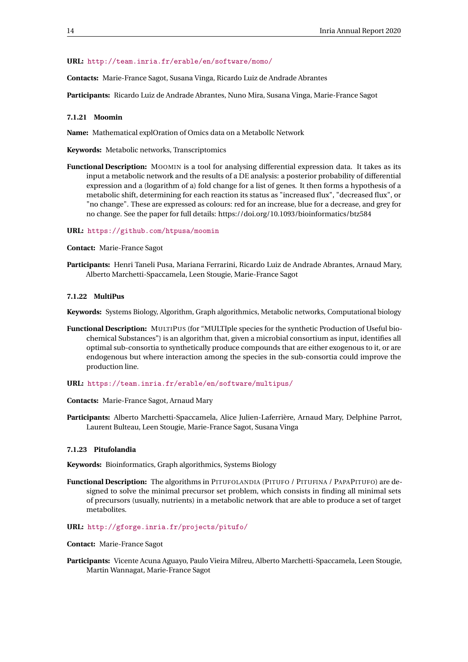## **URL:** <http://team.inria.fr/erable/en/software/momo/>

**Contacts:** Marie-France Sagot, Susana Vinga, Ricardo Luiz de Andrade Abrantes

**Participants:** Ricardo Luiz de Andrade Abrantes, Nuno Mira, Susana Vinga, Marie-France Sagot

## <span id="page-16-0"></span>**7.1.21 Moomin**

**Name:** Mathematical explOration of Omics data on a MetabolIc Network

**Keywords:** Metabolic networks, Transcriptomics

**Functional Description:** MOOMIN is a tool for analysing differential expression data. It takes as its input a metabolic network and the results of a DE analysis: a posterior probability of differential expression and a (logarithm of a) fold change for a list of genes. It then forms a hypothesis of a metabolic shift, determining for each reaction its status as "increased flux", "decreased flux", or "no change". These are expressed as colours: red for an increase, blue for a decrease, and grey for no change. See the paper for full details: https://doi.org/10.1093/bioinformatics/btz584

#### **URL:** <https://github.com/htpusa/moomin>

**Contact:** Marie-France Sagot

**Participants:** Henri Taneli Pusa, Mariana Ferrarini, Ricardo Luiz de Andrade Abrantes, Arnaud Mary, Alberto Marchetti-Spaccamela, Leen Stougie, Marie-France Sagot

#### <span id="page-16-1"></span>**7.1.22 MultiPus**

**Keywords:** Systems Biology, Algorithm, Graph algorithmics, Metabolic networks, Computational biology

- **Functional Description:** MULTIPUS (for "MULTIple species for the synthetic Production of Useful biochemical Substances") is an algorithm that, given a microbial consortium as input, identifies all optimal sub-consortia to synthetically produce compounds that are either exogenous to it, or are endogenous but where interaction among the species in the sub-consortia could improve the production line.
- **URL:** <https://team.inria.fr/erable/en/software/multipus/>

**Contacts:** Marie-France Sagot, Arnaud Mary

**Participants:** Alberto Marchetti-Spaccamela, Alice Julien-Laferrière, Arnaud Mary, Delphine Parrot, Laurent Bulteau, Leen Stougie, Marie-France Sagot, Susana Vinga

## <span id="page-16-2"></span>**7.1.23 Pitufolandia**

**Keywords:** Bioinformatics, Graph algorithmics, Systems Biology

**Functional Description:** The algorithms in PITUFOLANDIA (PITUFO / PITUFINA / PAPAPITUFO) are designed to solve the minimal precursor set problem, which consists in finding all minimal sets of precursors (usually, nutrients) in a metabolic network that are able to produce a set of target metabolites.

#### **URL:** <http://gforge.inria.fr/projects/pitufo/>

#### **Contact:** Marie-France Sagot

**Participants:** Vicente Acuna Aguayo, Paulo Vieira Milreu, Alberto Marchetti-Spaccamela, Leen Stougie, Martin Wannagat, Marie-France Sagot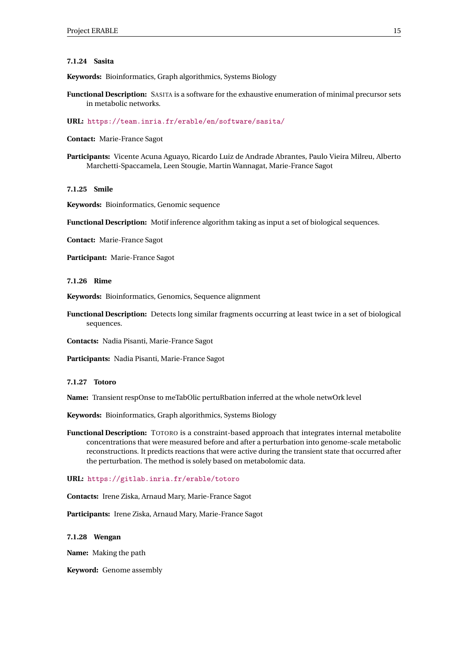## <span id="page-17-0"></span>**7.1.24 Sasita**

**Keywords:** Bioinformatics, Graph algorithmics, Systems Biology

**Functional Description:** SASITA is a software for the exhaustive enumeration of minimal precursor sets in metabolic networks.

**URL:** <https://team.inria.fr/erable/en/software/sasita/>

**Contact:** Marie-France Sagot

**Participants:** Vicente Acuna Aguayo, Ricardo Luiz de Andrade Abrantes, Paulo Vieira Milreu, Alberto Marchetti-Spaccamela, Leen Stougie, Martin Wannagat, Marie-France Sagot

<span id="page-17-1"></span>**7.1.25 Smile**

**Keywords:** Bioinformatics, Genomic sequence

**Functional Description:** Motif inference algorithm taking as input a set of biological sequences.

**Contact:** Marie-France Sagot

**Participant:** Marie-France Sagot

<span id="page-17-2"></span>**7.1.26 Rime**

**Keywords:** Bioinformatics, Genomics, Sequence alignment

**Functional Description:** Detects long similar fragments occurring at least twice in a set of biological sequences.

**Contacts:** Nadia Pisanti, Marie-France Sagot

**Participants:** Nadia Pisanti, Marie-France Sagot

## <span id="page-17-3"></span>**7.1.27 Totoro**

**Name:** Transient respOnse to meTabOlic pertuRbation inferred at the whole netwOrk level

**Keywords:** Bioinformatics, Graph algorithmics, Systems Biology

**Functional Description:** TOTORO is a constraint-based approach that integrates internal metabolite concentrations that were measured before and after a perturbation into genome-scale metabolic reconstructions. It predicts reactions that were active during the transient state that occurred after the perturbation. The method is solely based on metabolomic data.

**URL:** <https://gitlab.inria.fr/erable/totoro>

**Contacts:** Irene Ziska, Arnaud Mary, Marie-France Sagot

**Participants:** Irene Ziska, Arnaud Mary, Marie-France Sagot

<span id="page-17-4"></span>**7.1.28 Wengan**

**Name:** Making the path

**Keyword:** Genome assembly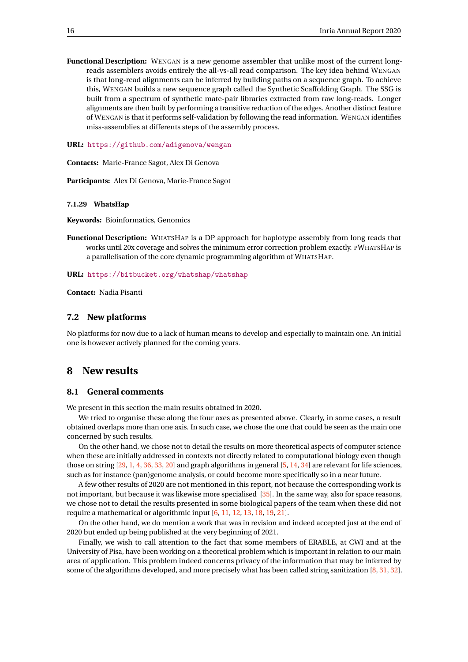**Functional Description:** WENGAN is a new genome assembler that unlike most of the current longreads assemblers avoids entirely the all-vs-all read comparison. The key idea behind WENGAN is that long-read alignments can be inferred by building paths on a sequence graph. To achieve this, WENGAN builds a new sequence graph called the Synthetic Scaffolding Graph. The SSG is built from a spectrum of synthetic mate-pair libraries extracted from raw long-reads. Longer alignments are then built by performing a transitive reduction of the edges. Another distinct feature of WENGAN is that it performs self-validation by following the read information. WENGAN identifies miss-assemblies at differents steps of the assembly process.

**URL:** <https://github.com/adigenova/wengan>

**Contacts:** Marie-France Sagot, Alex Di Genova

**Participants:** Alex Di Genova, Marie-France Sagot

#### <span id="page-18-0"></span>**7.1.29 WhatsHap**

**Keywords:** Bioinformatics, Genomics

**Functional Description:** WHATSHAP is a DP approach for haplotype assembly from long reads that works until 20x coverage and solves the minimum error correction problem exactly. PWHATSHAP is a parallelisation of the core dynamic programming algorithm of WHATSHAP.

**URL:** <https://bitbucket.org/whatshap/whatshap>

**Contact:** Nadia Pisanti

#### <span id="page-18-1"></span>**7.2 New platforms**

No platforms for now due to a lack of human means to develop and especially to maintain one. An initial one is however actively planned for the coming years.

## <span id="page-18-2"></span>**8 New results**

## <span id="page-18-3"></span>**8.1 General comments**

We present in this section the main results obtained in 2020.

We tried to organise these along the four axes as presented above. Clearly, in some cases, a result obtained overlaps more than one axis. In such case, we chose the one that could be seen as the main one concerned by such results.

On the other hand, we chose not to detail the results on more theoretical aspects of computer science when these are initially addressed in contexts not directly related to computational biology even though those on string [\[29,](#page-36-0) [1,](#page-34-3) [4,](#page-34-4) [36,](#page-37-0) [33,](#page-37-1) [20\]](#page-36-1) and graph algorithms in general [\[5,](#page-34-5) [14,](#page-35-0) [34\]](#page-37-2) are relevant for life sciences, such as for instance (pan)genome analysis, or could become more specifically so in a near future.

A few other results of 2020 are not mentioned in this report, not because the corresponding work is not important, but because it was likewise more specialised [\[35\]](#page-37-3). In the same way, also for space reasons, we chose not to detail the results presented in some biological papers of the team when these did not require a mathematical or algorithmic input [\[6,](#page-34-6) [11,](#page-35-1) [12,](#page-35-2) [13,](#page-35-3) [18,](#page-35-4) [19,](#page-35-5) [21\]](#page-36-2).

On the other hand, we do mention a work that was in revision and indeed accepted just at the end of 2020 but ended up being published at the very beginning of 2021.

Finally, we wish to call attention to the fact that some members of ERABLE, at CWI and at the University of Pisa, have been working on a theoretical problem which is important in relation to our main area of application. This problem indeed concerns privacy of the information that may be inferred by some of the algorithms developed, and more precisely what has been called string sanitization [\[8,](#page-34-7) [31,](#page-37-4) [32\]](#page-37-5).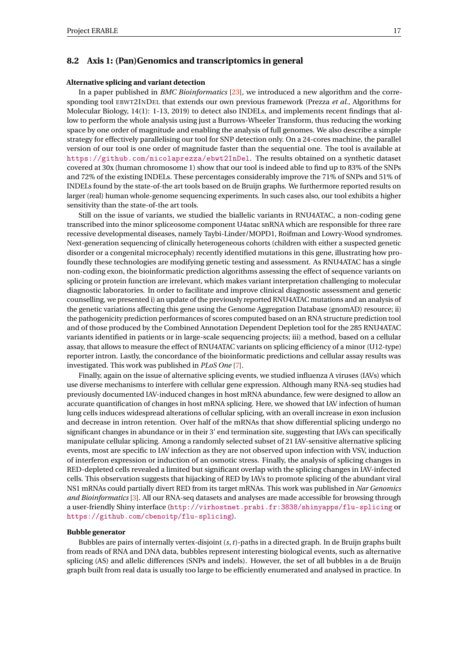## <span id="page-19-0"></span>**8.2 Axis 1: (Pan)Genomics and transcriptomics in general**

## **Alternative splicing and variant detection**

In a paper published in *BMC Bioinformatics* [\[23\]](#page-36-3), we introduced a new algorithm and the corresponding tool EBWT2INDEL that extends our own previous framework (Prezza *et al.*, Algorithms for Molecular Biology, 14(1): 1-13, 2019) to detect also INDELs, and implements recent findings that allow to perform the whole analysis using just a Burrows-Wheeler Transform, thus reducing the working space by one order of magnitude and enabling the analysis of full genomes. We also describe a simple strategy for effectively parallelising our tool for SNP detection only. On a 24-cores machine, the parallel version of our tool is one order of magnitude faster than the sequential one. The tool is available at <https://github.com/nicolaprezza/ebwt2InDel>. The results obtained on a synthetic dataset covered at 30x (human chromosome 1) show that our tool is indeed able to find up to 83% of the SNPs and 72% of the existing INDELs. These percentages considerably improve the 71% of SNPs and 51% of INDELs found by the state-of-the art tools based on de Bruijn graphs. We furthermore reported results on larger (real) human whole-genome sequencing experiments. In such cases also, our tool exhibits a higher sensitivity than the state-of-the art tools.

Still on the issue of variants, we studied the biallelic variants in RNU4ATAC, a non-coding gene transcribed into the minor spliceosome component U4atac snRNA which are responsible for three rare recessive developmental diseases, namely Taybi-Linder/MOPD1, Roifman and Lowry-Wood syndromes. Next-generation sequencing of clinically heterogeneous cohorts (children with either a suspected genetic disorder or a congenital microcephaly) recently identified mutations in this gene, illustrating how profoundly these technologies are modifying genetic testing and assessment. As RNU4ATAC has a single non-coding exon, the bioinformatic prediction algorithms assessing the effect of sequence variants on splicing or protein function are irrelevant, which makes variant interpretation challenging to molecular diagnostic laboratories. In order to facilitate and improve clinical diagnostic assessment and genetic counselling, we presented i) an update of the previously reported RNU4ATAC mutations and an analysis of the genetic variations affecting this gene using the Genome Aggregation Database (gnomAD) resource; ii) the pathogenicity prediction performances of scores computed based on an RNA structure prediction tool and of those produced by the Combined Annotation Dependent Depletion tool for the 285 RNU4ATAC variants identified in patients or in large-scale sequencing projects; iii) a method, based on a cellular assay, that allows to measure the effect of RNU4ATAC variants on splicing efficiency of a minor (U12-type) reporter intron. Lastly, the concordance of the bioinformatic predictions and cellular assay results was investigated. This work was published in *PLoS One* [\[7\]](#page-34-8).

Finally, again on the issue of alternative splicing events, we studied influenza A viruses (IAVs) which use diverse mechanisms to interfere with cellular gene expression. Although many RNA-seq studies had previously documented IAV-induced changes in host mRNA abundance, few were designed to allow an accurate quantification of changes in host mRNA splicing. Here, we showed that IAV infection of human lung cells induces widespread alterations of cellular splicing, with an overall increase in exon inclusion and decrease in intron retention. Over half of the mRNAs that show differential splicing undergo no significant changes in abundance or in their 3' end termination site, suggesting that IAVs can specifically manipulate cellular splicing. Among a randomly selected subset of 21 IAV-sensitive alternative splicing events, most are specific to IAV infection as they are not observed upon infection with VSV, induction of interferon expression or induction of an osmotic stress. Finally, the analysis of splicing changes in RED-depleted cells revealed a limited but significant overlap with the splicing changes in IAV-infected cells. This observation suggests that hijacking of RED by IAVs to promote splicing of the abundant viral NS1 mRNAs could partially divert RED from its target mRNAs. This work was published in *Nar Genomics and Bioinformatics* [\[3\]](#page-34-9). All our RNA-seq datasets and analyses are made accessible for browsing through a user-friendly Shiny interface (<http://virhostnet.prabi.fr:3838/shinyapps/flu-splicing> or <https://github.com/cbenoitp/flu-splicing>).

## **Bubble generator**

Bubbles are pairs of internally vertex-disjoint (*s*,*t*)-paths in a directed graph. In de Bruijn graphs built from reads of RNA and DNA data, bubbles represent interesting biological events, such as alternative splicing (AS) and allelic differences (SNPs and indels). However, the set of all bubbles in a de Bruijn graph built from real data is usually too large to be efficiently enumerated and analysed in practice. In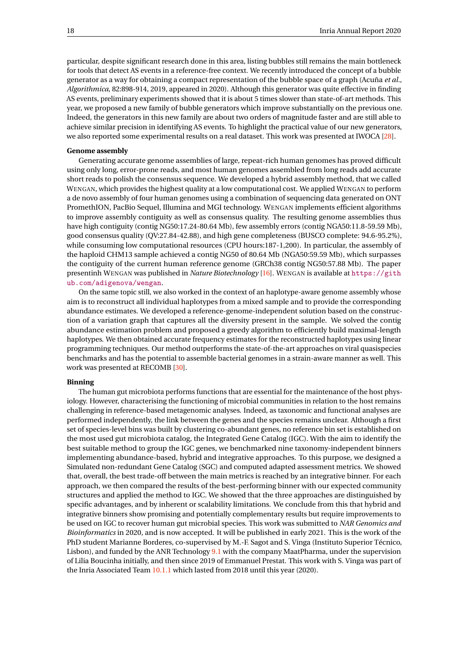particular, despite significant research done in this area, listing bubbles still remains the main bottleneck for tools that detect AS events in a reference-free context. We recently introduced the concept of a bubble generator as a way for obtaining a compact representation of the bubble space of a graph (Acuña *et al.*, *Algorithmica*, 82:898-914, 2019, appeared in 2020). Although this generator was quite effective in finding AS events, preliminary experiments showed that it is about 5 times slower than state-of-art methods. This year, we proposed a new family of bubble generators which improve substantially on the previous one. Indeed, the generators in this new family are about two orders of magnitude faster and are still able to achieve similar precision in identifying AS events. To highlight the practical value of our new generators, we also reported some experimental results on a real dataset. This work was presented at IWOCA [\[28\]](#page-36-4).

## **Genome assembly**

Generating accurate genome assemblies of large, repeat-rich human genomes has proved difficult using only long, error-prone reads, and most human genomes assembled from long reads add accurate short reads to polish the consensus sequence. We developed a hybrid assembly method, that we called WENGAN, which provides the highest quality at a low computational cost. We applied WENGAN to perform a de novo assembly of four human genomes using a combination of sequencing data generated on ONT PromethION, PacBio Sequel, Illumina and MGI technology. WENGAN implements efficient algorithms to improve assembly contiguity as well as consensus quality. The resulting genome assemblies thus have high contiguity (contig NG50:17.24-80.64 Mb), few assembly errors (contig NGA50:11.8-59.59 Mb), good consensus quality (QV:27.84-42.88), and high gene completeness (BUSCO complete: 94.6-95.2%), while consuming low computational resources (CPU hours:187-1,200). In particular, the assembly of the haploid CHM13 sample achieved a contig NG50 of 80.64 Mb (NGA50:59.59 Mb), which surpasses the contiguity of the current human reference genome (GRCh38 contig NG50:57.88 Mb). The paper presentinh WENGAN was published in *Nature Biotechnology* [\[16\]](#page-35-6). WENGAN is available at [https://gith](https://github.com/adigenova/wengan) [ub.com/adigenova/wengan](https://github.com/adigenova/wengan).

On the same topic still, we also worked in the context of an haplotype-aware genome assembly whose aim is to reconstruct all individual haplotypes from a mixed sample and to provide the corresponding abundance estimates. We developed a reference-genome-independent solution based on the construction of a variation graph that captures all the diversity present in the sample. We solved the contig abundance estimation problem and proposed a greedy algorithm to efficiently build maximal-length haplotypes. We then obtained accurate frequency estimates for the reconstructed haplotypes using linear programming techniques. Our method outperforms the state-of-the-art approaches on viral quasispecies benchmarks and has the potential to assemble bacterial genomes in a strain-aware manner as well. This work was presented at RECOMB [\[30\]](#page-36-5).

## **Binning**

The human gut microbiota performs functions that are essential for the maintenance of the host physiology. However, characterising the functioning of microbial communities in relation to the host remains challenging in reference-based metagenomic analyses. Indeed, as taxonomic and functional analyses are performed independently, the link between the genes and the species remains unclear. Although a first set of species-level bins was built by clustering co-abundant genes, no reference bin set is established on the most used gut microbiota catalog, the Integrated Gene Catalog (IGC). With the aim to identify the best suitable method to group the IGC genes, we benchmarked nine taxonomy-independent binners implementing abundance-based, hybrid and integrative approaches. To this purpose, we designed a Simulated non-redundant Gene Catalog (SGC) and computed adapted assessment metrics. We showed that, overall, the best trade-off between the main metrics is reached by an integrative binner. For each approach, we then compared the results of the best-performing binner with our expected community structures and applied the method to IGC. We showed that the three approaches are distinguished by specific advantages, and by inherent or scalability limitations. We conclude from this that hybrid and integrative binners show promising and potentially complementary results but require improvements to be used on IGC to recover human gut microbial species. This work was submitted to *NAR Genomics and Bioinformatics* in 2020, and is now accepted. It will be published in early 2021. This is the work of the PhD student Marianne Borderes, co-supervised by M.-F. Sagot and S. Vinga (Instituto Superior Técnico, Lisbon), and funded by the ANR Technology  $9.1$  with the company MaatPharma, under the supervision of Lilia Boucinha initially, and then since 2019 of Emmanuel Prestat. This work with S. Vinga was part of the Inria Associated Team [10.1.1](#page-24-7) which lasted from 2018 until this year (2020).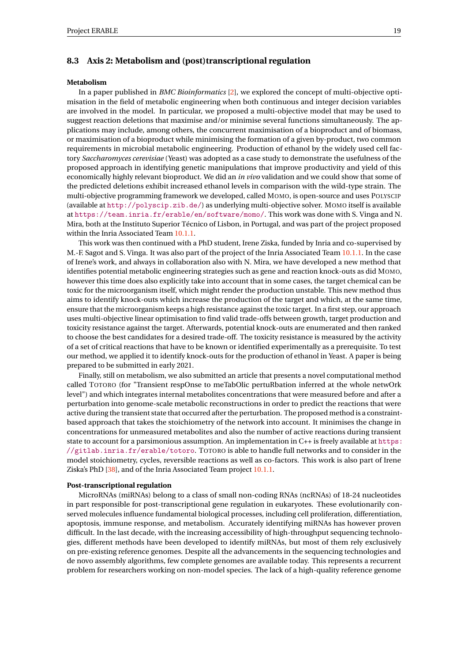## <span id="page-21-0"></span>**8.3 Axis 2: Metabolism and (post)transcriptional regulation**

## **Metabolism**

In a paper published in *BMC Bioinformatics* [\[2\]](#page-34-10), we explored the concept of multi-objective optimisation in the field of metabolic engineering when both continuous and integer decision variables are involved in the model. In particular, we proposed a multi-objective model that may be used to suggest reaction deletions that maximise and/or minimise several functions simultaneously. The applications may include, among others, the concurrent maximisation of a bioproduct and of biomass, or maximisation of a bioproduct while minimising the formation of a given by-product, two common requirements in microbial metabolic engineering. Production of ethanol by the widely used cell factory *Saccharomyces cerevisiae* (Yeast) was adopted as a case study to demonstrate the usefulness of the proposed approach in identifying genetic manipulations that improve productivity and yield of this economically highly relevant bioproduct. We did an *in vivo* validation and we could show that some of the predicted deletions exhibit increased ethanol levels in comparison with the wild-type strain. The multi-objective programming framework we developed, called MOMO, is open-source and uses POLYSCIP (available at <http://polyscip.zib.de/>) as underlying multi-objective solver. MOMO itself is available at <https://team.inria.fr/erable/en/software/momo/>. This work was done with S. Vinga and N. Mira, both at the Instituto Superior Técnico of Lisbon, in Portugal, and was part of the project proposed within the Inria Associated Team [10.1.1.](#page-24-7)

This work was then continued with a PhD student, Irene Ziska, funded by Inria and co-supervised by M.-F. Sagot and S. Vinga. It was also part of the project of the Inria Associated Team [10.1.1.](#page-24-7) In the case of Irene's work, and always in collaboration also with N. Mira, we have developed a new method that identifies potential metabolic engineering strategies such as gene and reaction knock-outs as did MOMO, however this time does also explicitly take into account that in some cases, the target chemical can be toxic for the microorganism itself, which might render the production unstable. This new method thus aims to identify knock-outs which increase the production of the target and which, at the same time, ensure that the microorganism keeps a high resistance against the toxic target. In a first step, our approach uses multi-objective linear optimisation to find valid trade-offs between growth, target production and toxicity resistance against the target. Afterwards, potential knock-outs are enumerated and then ranked to choose the best candidates for a desired trade-off. The toxicity resistance is measured by the activity of a set of critical reactions that have to be known or identified experimentally as a prerequisite. To test our method, we applied it to identify knock-outs for the production of ethanol in Yeast. A paper is being prepared to be submitted in early 2021.

Finally, still on metabolism, we also submitted an article that presents a novel computational method called TOTORO (for "Transient respOnse to meTabOlic pertuRbation inferred at the whole netwOrk level") and which integrates internal metabolites concentrations that were measured before and after a perturbation into genome-scale metabolic reconstructions in order to predict the reactions that were active during the transient state that occurred after the perturbation. The proposed method is a constraintbased approach that takes the stoichiometry of the network into account. It minimises the change in concentrations for unmeasured metabolites and also the number of active reactions during transient state to account for a parsimonious assumption. An implementation in C++ is freely available at [https:](https://gitlab.inria.fr/erable/totoro) [//gitlab.inria.fr/erable/totoro](https://gitlab.inria.fr/erable/totoro). TOTORO is able to handle full networks and to consider in the model stoichiometry, cycles, reversible reactions as well as co-factors. This work is also part of Irene Ziska's PhD [\[38\]](#page-37-6), and of the Inria Associated Team project [10.1.1.](#page-24-7)

## **Post-transcriptional regulation**

MicroRNAs (miRNAs) belong to a class of small non-coding RNAs (ncRNAs) of 18-24 nucleotides in part responsible for post-transcriptional gene regulation in eukaryotes. These evolutionarily conserved molecules influence fundamental biological processes, including cell proliferation, differentiation, apoptosis, immune response, and metabolism. Accurately identifying miRNAs has however proven difficult. In the last decade, with the increasing accessibility of high-throughput sequencing technologies, different methods have been developed to identify miRNAs, but most of them rely exclusively on pre-existing reference genomes. Despite all the advancements in the sequencing technologies and de novo assembly algorithms, few complete genomes are available today. This represents a recurrent problem for researchers working on non-model species. The lack of a high-quality reference genome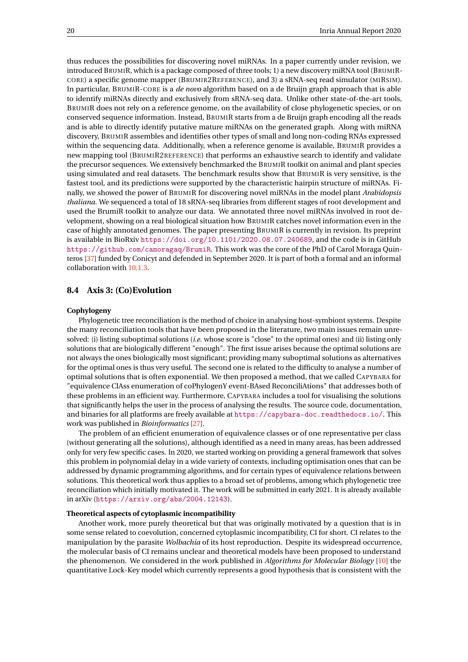thus reduces the possibilities for discovering novel miRNAs. In a paper currently under revision, we introduced BRUMIR, which is a package composed of three tools; 1) a new discovery miRNA tool (BRUMIR-CORE) a specific genome mapper (BRUMIR2REFERENCE), and 3) a sRNA-seq read simulator (MIRSIM). In particular, BRUMIR-CORE is a *de novo* algorithm based on a de Bruijn graph approach that is able to identify miRNAs directly and exclusively from sRNA-seq data. Unlike other state-of-the-art tools, BRUMIR does not rely on a reference genome, on the availability of close phylogenetic species, or on conserved sequence information. Instead, BRUMIR starts from a de Bruijn graph encoding all the reads and is able to directly identify putative mature miRNAs on the generated graph. Along with miRNA discovery, BRUMIR assembles and identifies other types of small and long non-coding RNAs expressed within the sequencing data. Additionally, when a reference genome is available, BRUMIR provides a new mapping tool (BRUMIR2REFERENCE) that performs an exhaustive search to identify and validate the precursor sequences. We extensively benchmarked the BRUMIR toolkit on animal and plant species using simulated and real datasets. The benchmark results show that BRUMIR is very sensitive, is the fastest tool, and its predictions were supported by the characteristic hairpin structure of miRNAs. Finally, we showed the power of BRUMIR for discovering novel miRNAs in the model plant *Arabidopsis thaliana*. We sequenced a total of 18 sRNA-seq libraries from different stages of root development and used the BrumiR toolkit to analyze our data. We annotated three novel miRNAs involved in root development, showing on a real biological situation how BRUMIR catches novel information even in the case of highly annotated genomes. The paper presenting BRUMIR is currently in revision. Its preprint is available in BioRxiv <https://doi.org/10.1101/2020.08.07.240689>, and the code is in GitHub <https://github.com/camoragaq/BrumiR>. This work was the core of the PhD of Carol Moraga Quinteros [\[37\]](#page-37-7) funded by Conicyt and defended in September 2020. It is part of both a formal and an informal collaboration with [10.1.3.](#page-26-1)

## <span id="page-22-0"></span>**8.4 Axis 3: (Co)Evolution**

#### **Cophylogeny**

Phylogenetic tree reconciliation is the method of choice in analysing host-symbiont systems. Despite the many reconciliation tools that have been proposed in the literature, two main issues remain unresolved: (i) listing suboptimal solutions (*i.e.* whose score is "close" to the optimal ones) and (ii) listing only solutions that are biologically different "enough". The first issue arises because the optimal solutions are not always the ones biologically most significant; providing many suboptimal solutions as alternatives for the optimal ones is thus very useful. The second one is related to the difficulty to analyse a number of optimal solutions that is often exponential. We then proposed a method, that we called CAPYBARA for "equivalence ClAss enumeration of coPhylogenY event-BAsed ReconciliAtions" that addresses both of these problems in an efficient way. Furthermore, CAPYBARA includes a tool for visualising the solutions that significantly helps the user in the process of analysing the results. The source code, documentation, and binaries for all platforms are freely available at <https://capybara-doc.readthedocs.io/>. This work was published in *Bioinformatics* [\[27\]](#page-36-6).

The problem of an efficient enumeration of equivalence classes or of one representative per class (without generating all the solutions), although identified as a need in many areas, has been addressed only for very few specific cases. In 2020, we started working on providing a general framework that solves this problem in polynomial delay in a wide variety of contexts, including optimisation ones that can be addressed by dynamic programming algorithms, and for certain types of equivalence relations between solutions. This theoretical work thus applies to a broad set of problems, among which phylogenetic tree reconciliation which initially motivated it. The work will be submitted in early 2021. It is already available in arXiv (<https://arxiv.org/abs/2004.12143>).

#### **Theoretical aspects of cytoplasmic incompatibility**

Another work, more purely theoretical but that was originally motivated by a question that is in some sense related to coevolution, concerned cytoplasmic incompatibility, CI for short. CI relates to the manipulation by the parasite *Wolbachia* of its host reproduction. Despite its widespread occurrence, the molecular basis of CI remains unclear and theoretical models have been proposed to understand the phenomenon. We considered in the work published in *Algorithms for Molecular Biology* [\[10\]](#page-35-7) the quantitative Lock-Key model which currently represents a good hypothesis that is consistent with the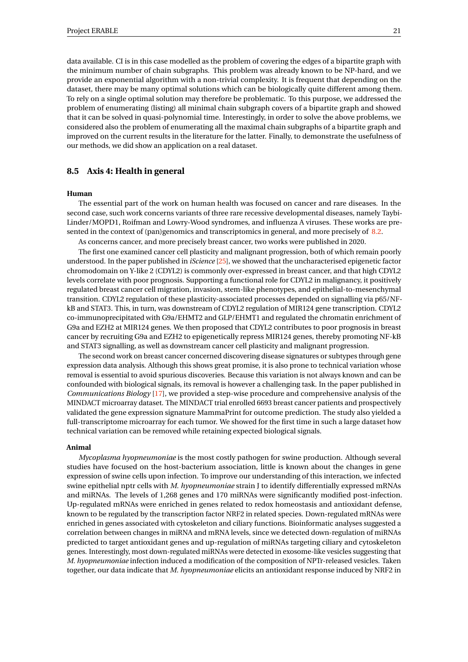data available. CI is in this case modelled as the problem of covering the edges of a bipartite graph with the minimum number of chain subgraphs. This problem was already known to be NP-hard, and we provide an exponential algorithm with a non-trivial complexity. It is frequent that depending on the dataset, there may be many optimal solutions which can be biologically quite different among them. To rely on a single optimal solution may therefore be problematic. To this purpose, we addressed the problem of enumerating (listing) all minimal chain subgraph covers of a bipartite graph and showed that it can be solved in quasi-polynomial time. Interestingly, in order to solve the above problems, we considered also the problem of enumerating all the maximal chain subgraphs of a bipartite graph and improved on the current results in the literature for the latter. Finally, to demonstrate the usefulness of our methods, we did show an application on a real dataset.

## <span id="page-23-0"></span>**8.5 Axis 4: Health in general**

#### **Human**

The essential part of the work on human health was focused on cancer and rare diseases. In the second case, such work concerns variants of three rare recessive developmental diseases, namely Taybi-Linder/MOPD1, Roifman and Lowry-Wood syndromes, and influenza A viruses. These works are presented in the context of (pan)genomics and transcriptomics in general, and more precisely of [8.2.](#page-19-0)

As concerns cancer, and more precisely breast cancer, two works were published in 2020.

The first one examined cancer cell plasticity and malignant progression, both of which remain poorly understood. In the paper published in *iScience* [\[25\]](#page-36-7), we showed that the uncharacterised epigenetic factor chromodomain on Y-like 2 (CDYL2) is commonly over-expressed in breast cancer, and that high CDYL2 levels correlate with poor prognosis. Supporting a functional role for CDYL2 in malignancy, it positively regulated breast cancer cell migration, invasion, stem-like phenotypes, and epithelial-to-mesenchymal transition. CDYL2 regulation of these plasticity-associated processes depended on signalling via p65/NFkB and STAT3. This, in turn, was downstream of CDYL2 regulation of MIR124 gene transcription. CDYL2 co-immunoprecipitated with G9a/EHMT2 and GLP/EHMT1 and regulated the chromatin enrichment of G9a and EZH2 at MIR124 genes. We then proposed that CDYL2 contributes to poor prognosis in breast cancer by recruiting G9a and EZH2 to epigenetically repress MIR124 genes, thereby promoting NF-kB and STAT3 signalling, as well as downstream cancer cell plasticity and malignant progression.

The second work on breast cancer concerned discovering disease signatures or subtypes through gene expression data analysis. Although this shows great promise, it is also prone to technical variation whose removal is essential to avoid spurious discoveries. Because this variation is not always known and can be confounded with biological signals, its removal is however a challenging task. In the paper published in *Communications Biology* [\[17\]](#page-35-8), we provided a step-wise procedure and comprehensive analysis of the MINDACT microarray dataset. The MINDACT trial enrolled 6693 breast cancer patients and prospectively validated the gene expression signature MammaPrint for outcome prediction. The study also yielded a full-transcriptome microarray for each tumor. We showed for the first time in such a large dataset how technical variation can be removed while retaining expected biological signals.

#### **Animal**

*Mycoplasma hyopneumoniae* is the most costly pathogen for swine production. Although several studies have focused on the host-bacterium association, little is known about the changes in gene expression of swine cells upon infection. To improve our understanding of this interaction, we infected swine epithelial nptr cells with *M. hyopneumoniae* strain J to identify differentially expressed mRNAs and miRNAs. The levels of 1,268 genes and 170 miRNAs were significantly modified post-infection. Up-regulated mRNAs were enriched in genes related to redox homeostasis and antioxidant defense, known to be regulated by the transcription factor NRF2 in related species. Down-regulated mRNAs were enriched in genes associated with cytoskeleton and ciliary functions. Bioinformatic analyses suggested a correlation between changes in miRNA and mRNA levels, since we detected down-regulation of miRNAs predicted to target antioxidant genes and up-regulation of miRNAs targeting ciliary and cytoskeleton genes. Interestingly, most down-regulated miRNAs were detected in exosome-like vesicles suggesting that *M. hyopneumoniae* infection induced a modification of the composition of NPTr-released vesicles. Taken together, our data indicate that *M. hyopneumoniae* elicits an antioxidant response induced by NRF2 in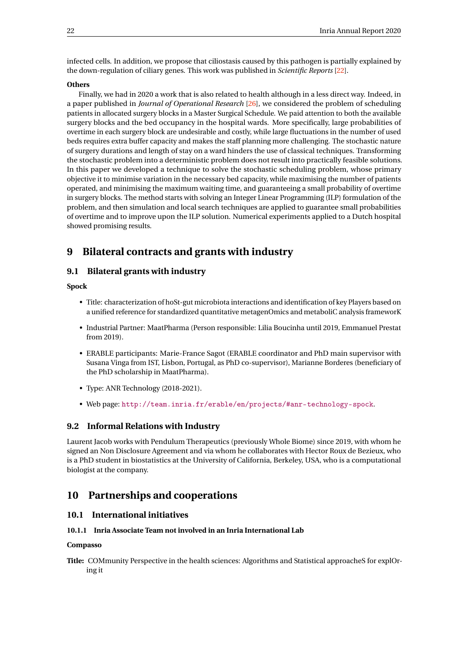infected cells. In addition, we propose that ciliostasis caused by this pathogen is partially explained by the down-regulation of ciliary genes. This work was published in *Scientific Reports* [\[22\]](#page-36-8).

#### **Others**

Finally, we had in 2020 a work that is also related to health although in a less direct way. Indeed, in a paper published in *Journal of Operational Research* [\[26\]](#page-36-9), we considered the problem of scheduling patients in allocated surgery blocks in a Master Surgical Schedule. We paid attention to both the available surgery blocks and the bed occupancy in the hospital wards. More specifically, large probabilities of overtime in each surgery block are undesirable and costly, while large fluctuations in the number of used beds requires extra buffer capacity and makes the staff planning more challenging. The stochastic nature of surgery durations and length of stay on a ward hinders the use of classical techniques. Transforming the stochastic problem into a deterministic problem does not result into practically feasible solutions. In this paper we developed a technique to solve the stochastic scheduling problem, whose primary objective it to minimise variation in the necessary bed capacity, while maximising the number of patients operated, and minimising the maximum waiting time, and guaranteeing a small probability of overtime in surgery blocks. The method starts with solving an Integer Linear Programming (ILP) formulation of the problem, and then simulation and local search techniques are applied to guarantee small probabilities of overtime and to improve upon the ILP solution. Numerical experiments applied to a Dutch hospital showed promising results.

# <span id="page-24-0"></span>**9 Bilateral contracts and grants with industry**

## <span id="page-24-1"></span>**9.1 Bilateral grants with industry**

<span id="page-24-6"></span>**Spock**

- Title: characterization of hoSt-gut microbiota interactions and identification of key Players based on a unified reference for standardized quantitative metagenOmics and metaboliC analysis frameworK
- Industrial Partner: MaatPharma (Person responsible: Lilia Boucinha until 2019, Emmanuel Prestat from 2019).
- ERABLE participants: Marie-France Sagot (ERABLE coordinator and PhD main supervisor with Susana Vinga from IST, Lisbon, Portugal, as PhD co-supervisor), Marianne Borderes (beneficiary of the PhD scholarship in MaatPharma).
- Type: ANR Technology (2018-2021).
- Web page: <http://team.inria.fr/erable/en/projects/#anr-technology-spock>.

## <span id="page-24-2"></span>**9.2 Informal Relations with Industry**

Laurent Jacob works with Pendulum Therapeutics (previously Whole Biome) since 2019, with whom he signed an Non Disclosure Agreement and via whom he collaborates with Hector Roux de Bezieux, who is a PhD student in biostatistics at the University of California, Berkeley, USA, who is a computational biologist at the company.

# <span id="page-24-3"></span>**10 Partnerships and cooperations**

## <span id="page-24-4"></span>**10.1 International initiatives**

## <span id="page-24-5"></span>**10.1.1 Inria Associate Team not involved in an Inria International Lab**

## <span id="page-24-7"></span>**Compasso**

**Title:** COMmunity Perspective in the health sciences: Algorithms and Statistical approacheS for explOring it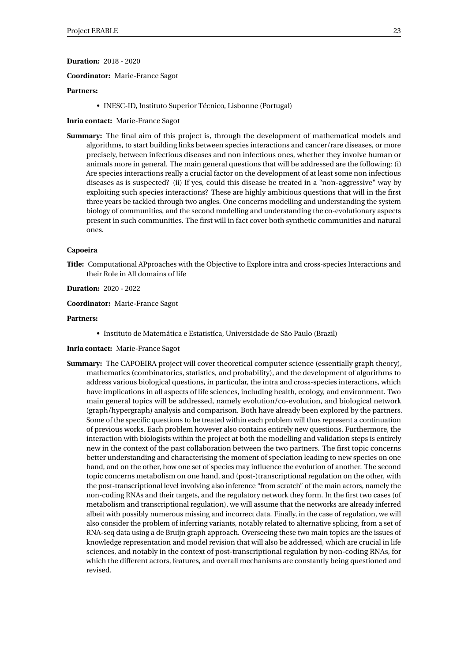## **Duration:** 2018 - 2020

## **Coordinator:** Marie-France Sagot

## **Partners:**

• INESC-ID, Instituto Superior Técnico, Lisbonne (Portugal)

#### **Inria contact:** Marie-France Sagot

**Summary:** The final aim of this project is, through the development of mathematical models and algorithms, to start building links between species interactions and cancer/rare diseases, or more precisely, between infectious diseases and non infectious ones, whether they involve human or animals more in general. The main general questions that will be addressed are the following: (i) Are species interactions really a crucial factor on the development of at least some non infectious diseases as is suspected? (ii) If yes, could this disease be treated in a "non-aggressive" way by exploiting such species interactions? These are highly ambitious questions that will in the first three years be tackled through two angles. One concerns modelling and understanding the system biology of communities, and the second modelling and understanding the co-evolutionary aspects present in such communities. The first will in fact cover both synthetic communities and natural ones.

#### **Capoeira**

**Title:** Computational APproaches with the Objective to Explore intra and cross-species Interactions and their Role in All domains of life

#### **Duration:** 2020 - 2022

**Coordinator:** Marie-France Sagot

#### **Partners:**

• Instituto de Matemática e Estatistíca, Universidade de São Paulo (Brazil)

## **Inria contact:** Marie-France Sagot

**Summary:** The CAPOEIRA project will cover theoretical computer science (essentially graph theory), mathematics (combinatorics, statistics, and probability), and the development of algorithms to address various biological questions, in particular, the intra and cross-species interactions, which have implications in all aspects of life sciences, including health, ecology, and environment. Two main general topics will be addressed, namely evolution/co-evolution, and biological network (graph/hypergraph) analysis and comparison. Both have already been explored by the partners. Some of the specific questions to be treated within each problem will thus represent a continuation of previous works. Each problem however also contains entirely new questions. Furthermore, the interaction with biologists within the project at both the modelling and validation steps is entirely new in the context of the past collaboration between the two partners. The first topic concerns better understanding and characterising the moment of speciation leading to new species on one hand, and on the other, how one set of species may influence the evolution of another. The second topic concerns metabolism on one hand, and (post-)transcriptional regulation on the other, with the post-transcriptional level involving also inference "from scratch" of the main actors, namely the non-coding RNAs and their targets, and the regulatory network they form. In the first two cases (of metabolism and transcriptional regulation), we will assume that the networks are already inferred albeit with possibly numerous missing and incorrect data. Finally, in the case of regulation, we will also consider the problem of inferring variants, notably related to alternative splicing, from a set of RNA-seq data using a de Bruijn graph approach. Overseeing these two main topics are the issues of knowledge representation and model revision that will also be addressed, which are crucial in life sciences, and notably in the context of post-transcriptional regulation by non-coding RNAs, for which the different actors, features, and overall mechanisms are constantly being questioned and revised.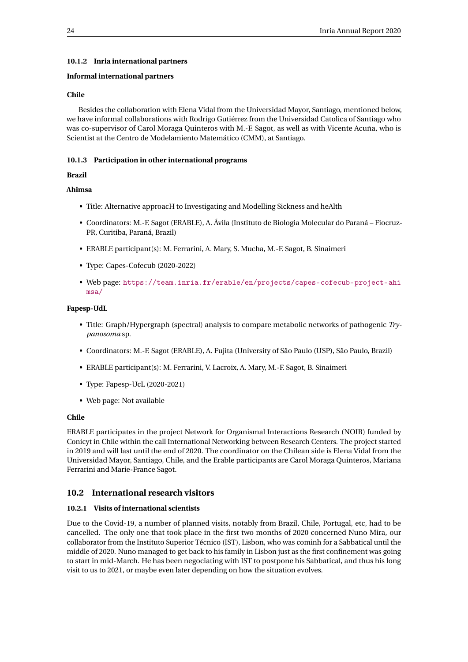## <span id="page-26-0"></span>**10.1.2 Inria international partners**

## **Informal international partners**

## **Chile**

Besides the collaboration with Elena Vidal from the Universidad Mayor, Santiago, mentioned below, we have informal collaborations with Rodrigo Gutiérrez from the Universidad Catolica of Santiago who was co-supervisor of Carol Moraga Quinteros with M.-F. Sagot, as well as with Vicente Acuña, who is Scientist at the Centro de Modelamiento Matemático (CMM), at Santiago.

## <span id="page-26-1"></span>**10.1.3 Participation in other international programs**

## **Brazil**

## **Ahimsa**

- Title: Alternative approacH to Investigating and Modelling Sickness and heAlth
- Coordinators: M.-F. Sagot (ERABLE), A. Ávila (Instituto de Biologia Molecular do Paraná Fiocruz-PR, Curitiba, Paraná, Brazil)
- ERABLE participant(s): M. Ferrarini, A. Mary, S. Mucha, M.-F. Sagot, B. Sinaimeri
- Type: Capes-Cofecub (2020-2022)
- Web page: [https://team.inria.fr/erable/en/projects/capes-cofecub-project-ahi](https://team.inria.fr/erable/en/projects/capes-cofecub-project-ahimsa/) [msa/](https://team.inria.fr/erable/en/projects/capes-cofecub-project-ahimsa/)

## **Fapesp-UdL**

- Title: Graph/Hypergraph (spectral) analysis to compare metabolic networks of pathogenic *Trypanosoma* sp.
- Coordinators: M.-F. Sagot (ERABLE), A. Fujita (University of São Paulo (USP), São Paulo, Brazil)
- ERABLE participant(s): M. Ferrarini, V. Lacroix, A. Mary, M.-F. Sagot, B. Sinaimeri
- Type: Fapesp-UcL (2020-2021)
- Web page: Not available

## **Chile**

ERABLE participates in the project Network for Organismal Interactions Research (NOIR) funded by Conicyt in Chile within the call International Networking between Research Centers. The project started in 2019 and will last until the end of 2020. The coordinator on the Chilean side is Elena Vidal from the Universidad Mayor, Santiago, Chile, and the Erable participants are Carol Moraga Quinteros, Mariana Ferrarini and Marie-France Sagot.

## <span id="page-26-2"></span>**10.2 International research visitors**

#### <span id="page-26-3"></span>**10.2.1 Visits of international scientists**

Due to the Covid-19, a number of planned visits, notably from Brazil, Chile, Portugal, etc, had to be cancelled. The only one that took place in the first two months of 2020 concerned Nuno Mira, our collaborator from the Instituto Superior Técnico (IST), Lisbon, who was cominh for a Sabbatical until the middle of 2020. Nuno managed to get back to his family in Lisbon just as the first confinement was going to start in mid-March. He has been negociating with IST to postpone his Sabbatical, and thus his long visit to us to 2021, or maybe even later depending on how the situation evolves.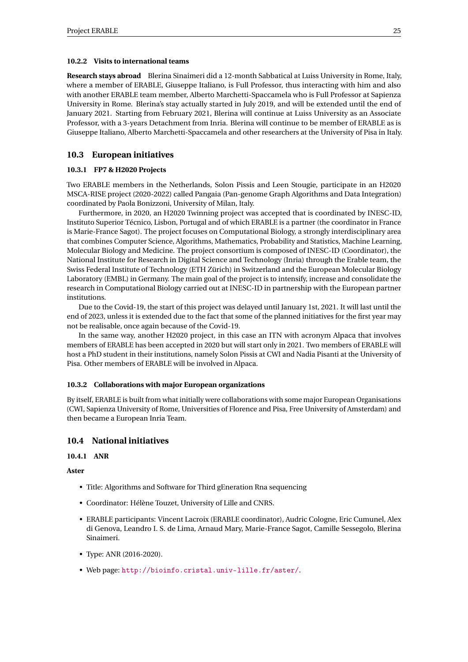#### <span id="page-27-0"></span>**10.2.2 Visits to international teams**

**Research stays abroad** Blerina Sinaimeri did a 12-month Sabbatical at Luiss University in Rome, Italy, where a member of ERABLE, Giuseppe Italiano, is Full Professor, thus interacting with him and also with another ERABLE team member, Alberto Marchetti-Spaccamela who is Full Professor at Sapienza University in Rome. Blerina's stay actually started in July 2019, and will be extended until the end of January 2021. Starting from February 2021, Blerina will continue at Luiss University as an Associate Professor, with a 3-years Detachment from Inria. Blerina will continue to be member of ERABLE as is Giuseppe Italiano, Alberto Marchetti-Spaccamela and other researchers at the University of Pisa in Italy.

## <span id="page-27-1"></span>**10.3 European initiatives**

## <span id="page-27-2"></span>**10.3.1 FP7 & H2020 Projects**

Two ERABLE members in the Netherlands, Solon Pissis and Leen Stougie, participate in an H2020 MSCA-RISE project (2020-2022) called Pangaia (Pan-genome Graph Algorithms and Data Integration) coordinated by Paola Bonizzoni, University of Milan, Italy.

Furthermore, in 2020, an H2020 Twinning project was accepted that is coordinated by INESC-ID, Instituto Superior Técnico, Lisbon, Portugal and of which ERABLE is a partner (the coordinator in France is Marie-France Sagot). The project focuses on Computational Biology, a strongly interdisciplinary area that combines Computer Science, Algorithms, Mathematics, Probability and Statistics, Machine Learning, Molecular Biology and Medicine. The project consortium is composed of INESC-ID (Coordinator), the National Institute for Research in Digital Science and Technology (Inria) through the Erable team, the Swiss Federal Institute of Technology (ETH Zürich) in Switzerland and the European Molecular Biology Laboratory (EMBL) in Germany. The main goal of the project is to intensify, increase and consolidate the research in Computational Biology carried out at INESC-ID in partnership with the European partner institutions.

Due to the Covid-19, the start of this project was delayed until January 1st, 2021. It will last until the end of 2023, unless it is extended due to the fact that some of the planned initiatives for the first year may not be realisable, once again because of the Covid-19.

In the same way, another H2020 project, in this case an ITN with acronym Alpaca that involves members of ERABLE has been accepted in 2020 but will start only in 2021. Two members of ERABLE will host a PhD student in their institutions, namely Solon Pissis at CWI and Nadia Pisanti at the University of Pisa. Other members of ERABLE will be involved in Alpaca.

## <span id="page-27-3"></span>**10.3.2 Collaborations with major European organizations**

By itself, ERABLE is built from what initially were collaborations with some major European Organisations (CWI, Sapienza University of Rome, Universities of Florence and Pisa, Free University of Amsterdam) and then became a European Inria Team.

## <span id="page-27-4"></span>**10.4 National initiatives**

#### <span id="page-27-5"></span>**10.4.1 ANR**

**Aster**

- Title: Algorithms and Software for Third gEneration Rna sequencing
- Coordinator: Hélène Touzet, University of Lille and CNRS.
- ERABLE participants: Vincent Lacroix (ERABLE coordinator), Audric Cologne, Eric Cumunel, Alex di Genova, Leandro I. S. de Lima, Arnaud Mary, Marie-France Sagot, Camille Sessegolo, Blerina Sinaimeri.
- Type: ANR (2016-2020).
- Web page: <http://bioinfo.cristal.univ-lille.fr/aster/>.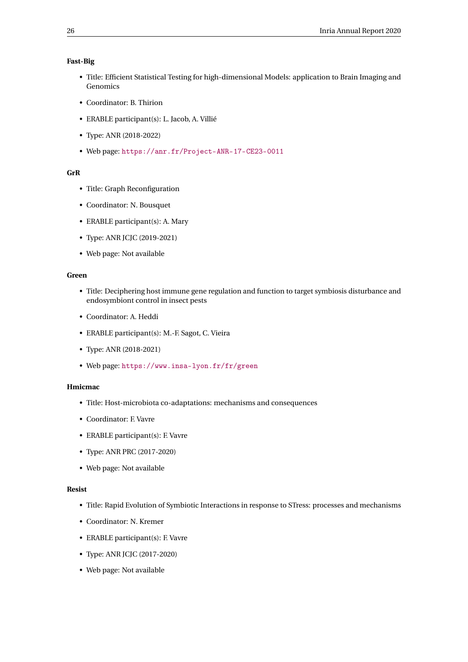## **Fast-Big**

- Title: Efficient Statistical Testing for high-dimensional Models: application to Brain Imaging and Genomics
- Coordinator: B. Thirion
- ERABLE participant(s): L. Jacob, A. Villié
- Type: ANR (2018-2022)
- Web page: <https://anr.fr/Project-ANR-17-CE23-0011>

## **GrR**

- Title: Graph Reconfiguration
- Coordinator: N. Bousquet
- ERABLE participant(s): A. Mary
- Type: ANR JCJC (2019-2021)
- Web page: Not available

#### **Green**

- Title: Deciphering host immune gene regulation and function to target symbiosis disturbance and endosymbiont control in insect pests
- Coordinator: A. Heddi
- ERABLE participant(s): M.-F. Sagot, C. Vieira
- Type: ANR (2018-2021)
- Web page: <https://www.insa-lyon.fr/fr/green>

## **Hmicmac**

- Title: Host-microbiota co-adaptations: mechanisms and consequences
- Coordinator: F. Vavre
- ERABLE participant(s): F. Vavre
- Type: ANR PRC (2017-2020)
- Web page: Not available

## **Resist**

- Title: Rapid Evolution of Symbiotic Interactions in response to STress: processes and mechanisms
- Coordinator: N. Kremer
- ERABLE participant(s): F. Vavre
- Type: ANR JCJC (2017-2020)
- Web page: Not available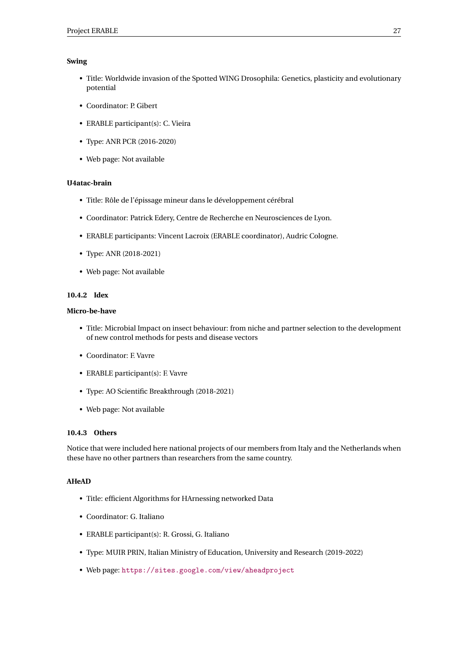## **Swing**

- Title: Worldwide invasion of the Spotted WING Drosophila: Genetics, plasticity and evolutionary potential
- Coordinator: P. Gibert
- ERABLE participant(s): C. Vieira
- Type: ANR PCR (2016-2020)
- Web page: Not available

## **U4atac-brain**

- Title: Rôle de l'épissage mineur dans le développement cérébral
- Coordinator: Patrick Edery, Centre de Recherche en Neurosciences de Lyon.
- ERABLE participants: Vincent Lacroix (ERABLE coordinator), Audric Cologne.
- Type: ANR (2018-2021)
- Web page: Not available

## <span id="page-29-0"></span>**10.4.2 Idex**

## **Micro-be-have**

- Title: Microbial Impact on insect behaviour: from niche and partner selection to the development of new control methods for pests and disease vectors
- Coordinator: F. Vavre
- ERABLE participant(s): F. Vavre
- Type: AO Scientific Breakthrough (2018-2021)
- Web page: Not available

## <span id="page-29-1"></span>**10.4.3 Others**

Notice that were included here national projects of our members from Italy and the Netherlands when these have no other partners than researchers from the same country.

## **AHeAD**

- Title: efficient Algorithms for HArnessing networked Data
- Coordinator: G. Italiano
- ERABLE participant(s): R. Grossi, G. Italiano
- Type: MUIR PRIN, Italian Ministry of Education, University and Research (2019-2022)
- Web page: <https://sites.google.com/view/aheadproject>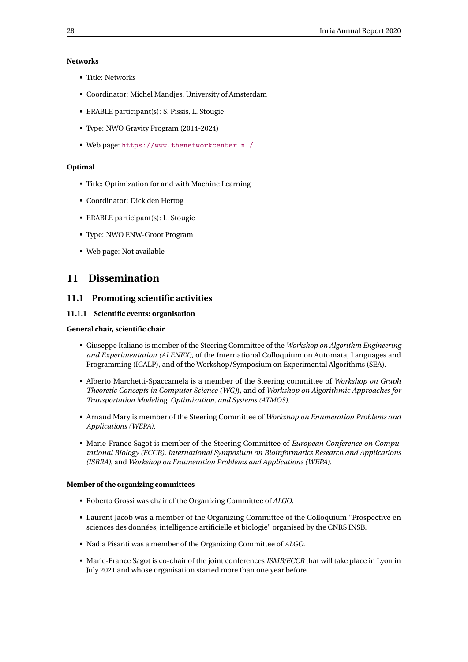## **Networks**

- Title: Networks
- Coordinator: Michel Mandjes, University of Amsterdam
- ERABLE participant(s): S. Pissis, L. Stougie
- Type: NWO Gravity Program (2014-2024)
- Web page: <https://www.thenetworkcenter.nl/>

## **Optimal**

- Title: Optimization for and with Machine Learning
- Coordinator: Dick den Hertog
- ERABLE participant(s): L. Stougie
- Type: NWO ENW-Groot Program
- Web page: Not available

## <span id="page-30-0"></span>**11 Dissemination**

## <span id="page-30-1"></span>**11.1 Promoting scientific activities**

## <span id="page-30-2"></span>**11.1.1 Scientific events: organisation**

## **General chair, scientific chair**

- Giuseppe Italiano is member of the Steering Committee of the *Workshop on Algorithm Engineering and Experimentation (ALENEX)*, of the International Colloquium on Automata, Languages and Programming (ICALP), and of the Workshop/Symposium on Experimental Algorithms (SEA).
- Alberto Marchetti-Spaccamela is a member of the Steering committee of *Workshop on Graph Theoretic Concepts in Computer Science (WG)*), and of *Workshop on Algorithmic Approaches for Transportation Modeling, Optimization, and Systems (ATMOS)*.
- Arnaud Mary is member of the Steering Committee of *Workshop on Enumeration Problems and Applications (WEPA)*.
- Marie-France Sagot is member of the Steering Committee of *European Conference on Computational Biology (ECCB)*, *International Symposium on Bioinformatics Research and Applications (ISBRA)*, and *Workshop on Enumeration Problems and Applications (WEPA)*.

#### **Member of the organizing committees**

- Roberto Grossi was chair of the Organizing Committee of *ALGO*.
- Laurent Jacob was a member of the Organizing Committee of the Colloquium "Prospective en sciences des données, intelligence artificielle et biologie" organised by the CNRS INSB.
- Nadia Pisanti was a member of the Organizing Committee of *ALGO*.
- Marie-France Sagot is co-chair of the joint conferences *ISMB/ECCB* that will take place in Lyon in July 2021 and whose organisation started more than one year before.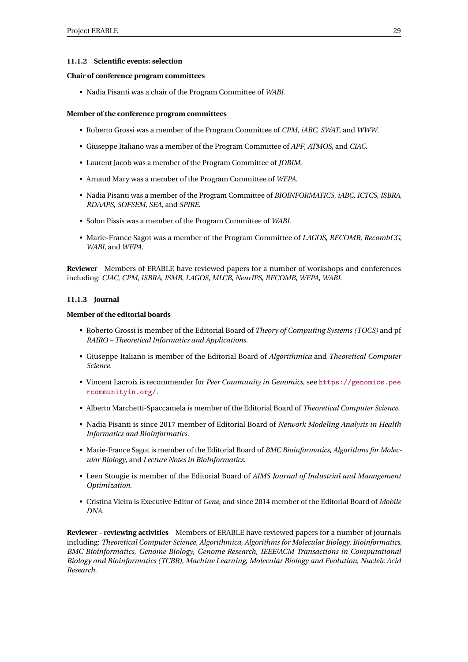## <span id="page-31-0"></span>**11.1.2 Scientific events: selection**

## **Chair of conference program committees**

• Nadia Pisanti was a chair of the Program Committee of *WABI*.

## **Member of the conference program committees**

- Roberto Grossi was a member of the Program Committee of *CPM*, *iABC*, *SWAT*, and *WWW*.
- Giuseppe Italiano was a member of the Program Committee of *APF*, *ATMOS*, and *CIAC*.
- Laurent Jacob was a member of the Program Committee of *JOBIM*.
- Arnaud Mary was a member of the Program Committee of *WEPA*.
- Nadia Pisanti was a member of the Program Committee of *BIOINFORMATICS*, *iABC*, *ICTCS*, *ISBRA*, *RDAAPS*, *SOFSEM*, *SEA*, and *SPIRE*.
- Solon Pissis was a member of the Program Committee of *WABI*.
- Marie-France Sagot was a member of the Program Committee of *LAGOS*, *RECOMB*, *RecombCG*, *WABI*, and *WEPA*.

**Reviewer** Members of ERABLE have reviewed papers for a number of workshops and conferences including: *CIAC*, *CPM*, *ISBRA*, *ISMB*, *LAGOS*, *MLCB*, *NeurIPS*, *RECOMB*, *WEPA*, *WABI*.

## <span id="page-31-1"></span>**11.1.3 Journal**

## **Member of the editorial boards**

- Roberto Grossi is member of the Editorial Board of *Theory of Computing Systems (TOCS)* and pf *RAIRO – Theoretical Informatics and Applications*.
- Giuseppe Italiano is member of the Editorial Board of *Algorithmica* and *Theoretical Computer Science*.
- Vincent Lacroix is recommender for *Peer Community in Genomics*, see [https://genomics.pee](https://genomics.peercommunityin.org/) [rcommunityin.org/](https://genomics.peercommunityin.org/).
- Alberto Marchetti-Spaccamela is member of the Editorial Board of *Theoretical Computer Science*.
- Nadia Pisanti is since 2017 member of Editorial Board of *Network Modeling Analysis in Health Informatics and Bioinformatics*.
- Marie-France Sagot is member of the Editorial Board of *BMC Bioinformatics*, *Algorithms for Molecular Biology*, and *Lecture Notes in BioInformatics*.
- Leen Stougie is member of the Editorial Board of *AIMS Journal of Industrial and Management Optimization*.
- Cristina Vieira is Executive Editor of *Gene*, and since 2014 member of the Editorial Board of *Mobile DNA*.

**Reviewer - reviewing activities** Members of ERABLE have reviewed papers for a number of journals including: *Theoretical Computer Science*, *Algorithmica*, *Algorithms for Molecular Biology*, *Bioinformatics*, *BMC Bioinformatics*, *Genome Biology*, *Genome Research*, *IEEE/ACM Transactions in Computational Biology and Bioinformatics (TCBB)*, *Machine Learning*, *Molecular Biology and Evolution*, *Nucleic Acid Research*.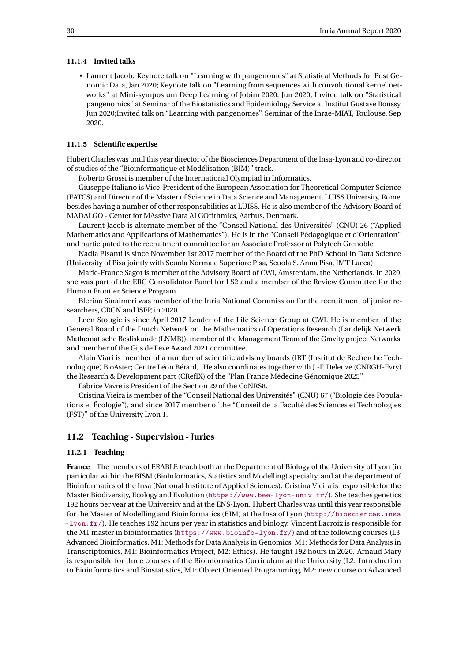#### <span id="page-32-0"></span>**11.1.4 Invited talks**

• Laurent Jacob: Keynote talk on "Learning with pangenomes" at Statistical Methods for Post Genomic Data, Jan 2020; Keynote talk on "Learning from sequences with convolutional kernel networks" at Mini-symposium Deep Learning of Jobim 2020, Jun 2020; Invited talk on "Statistical pangenomics" at Seminar of the Biostatistics and Epidemiology Service at Institut Gustave Roussy, Jun 2020;Invited talk on "Learning with pangenomes", Seminar of the Inrae-MIAT, Toulouse, Sep 2020.

## <span id="page-32-1"></span>**11.1.5 Scientific expertise**

Hubert Charles was until this year director of the Biosciences Department of the Insa-Lyon and co-director of studies of the "Bioinformatique et Modélisation (BIM)" track.

Roberto Grossi is member of the International Olympiad in Informatics.

Giuseppe Italiano is Vice-President of the European Association for Theoretical Computer Science (EATCS) and Director of the Master of Science in Data Science and Management, LUISS University, Rome, besides having a number of other responsabilities at LUISS. He is also member of the Advisory Board of MADALGO - Center for MAssive Data ALGOrithmics, Aarhus, Denmark.

Laurent Jacob is alternate member of the "Conseil National des Universités" (CNU) 26 ("Applied Mathematics and Applications of Mathematics"). He is in the "Conseil Pédagogique et d'Orientation" and participated to the recruitment committee for an Associate Professor at Polytech Grenoble.

Nadia Pisanti is since November 1st 2017 member of the Board of the PhD School in Data Science (University of Pisa jointly with Scuola Normale Superiore Pisa, Scuola S. Anna Pisa, IMT Lucca).

Marie-France Sagot is member of the Advisory Board of CWI, Amsterdam, the Netherlands. In 2020, she was part of the ERC Consolidator Panel for LS2 and a member of the Review Committee for the Human Frontier Science Program.

Blerina Sinaimeri was member of the Inria National Commission for the recruitment of junior researchers, CRCN and ISFP, in 2020.

Leen Stougie is since April 2017 Leader of the Life Science Group at CWI. He is member of the General Board of the Dutch Network on the Mathematics of Operations Research (Landelijk Netwerk Mathematische Besliskunde (LNMB)), member of the Management Team of the Gravity project Networks, and member of the Gijs de Leve Award 2021 committee.

Alain Viari is member of a number of scientific advisory boards (IRT (Institut de Recherche Technologique) BioAster; Centre Léon Bérard). He also coordinates together with J.-F. Deleuze (CNRGH-Evry) the Research & Development part (CRefIX) of the "Plan France Médecine Génomique 2025".

Fabrice Vavre is President of the Section 29 of the CoNRS8.

Cristina Vieira is member of the "Conseil National des Universités" (CNU) 67 ("Biologie des Populations et Écologie"), and since 2017 member of the "Conseil de la Faculté des Sciences et Technologies (FST)" of the University Lyon 1.

## <span id="page-32-2"></span>**11.2 Teaching - Supervision - Juries**

## <span id="page-32-3"></span>**11.2.1 Teaching**

**France** The members of ERABLE teach both at the Department of Biology of the University of Lyon (in particular within the BISM (BioInformatics, Statistics and Modelling) specialty, and at the department of Bioinformatics of the Insa (National Institute of Applied Sciences). Cristina Vieira is responsible for the Master Biodiversity, Ecology and Evolution (<https://www.bee-lyon-univ.fr/>). She teaches genetics 192 hours per year at the University and at the ENS-Lyon. Hubert Charles was until this year responsible for the Master of Modelling and Bioinformatics (BIM) at the Insa of Lyon ([http://biosciences.insa](http://biosciences.insa-lyon.fr/) [-lyon.fr/](http://biosciences.insa-lyon.fr/)). He teaches 192 hours per year in statistics and biology. Vincent Lacroix is responsible for the M1 master in bioinformatics (<https://www.bioinfo-lyon.fr/>) and of the following courses (L3: Advanced Bioinformatics, M1: Methods for Data Analysis in Genomics, M1: Methods for Data Analysis in Transcriptomics, M1: Bioinformatics Project, M2: Ethics). He taught 192 hours in 2020. Arnaud Mary is responsible for three courses of the Bioinformatics Curriculum at the University (L2: Introduction to Bioinformatics and Biostatistics, M1: Object Oriented Programming, M2: new course on Advanced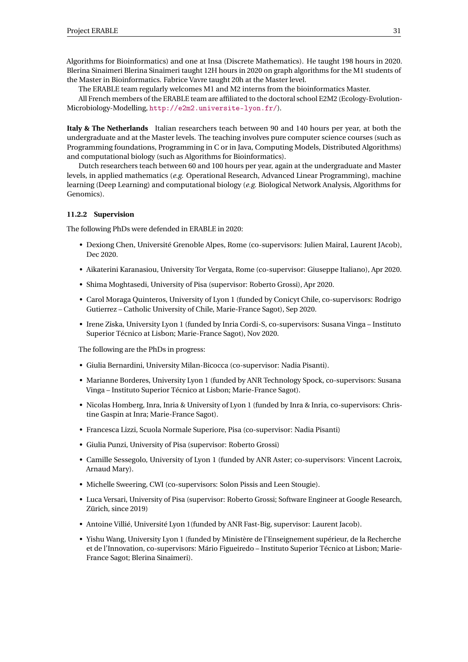Algorithms for Bioinformatics) and one at Insa (Discrete Mathematics). He taught 198 hours in 2020. Blerina Sinaimeri Blerina Sinaimeri taught 12H hours in 2020 on graph algorithms for the M1 students of the Master in Bioinformatics. Fabrice Vavre taught 20h at the Master level.

The ERABLE team regularly welcomes M1 and M2 interns from the bioinformatics Master.

All French members of the ERABLE team are affiliated to the doctoral school E2M2 (Ecology-Evolution-Microbiology-Modelling, <http://e2m2.universite-lyon.fr/>).

**Italy & The Netherlands** Italian researchers teach between 90 and 140 hours per year, at both the undergraduate and at the Master levels. The teaching involves pure computer science courses (such as Programming foundations, Programming in C or in Java, Computing Models, Distributed Algorithms) and computational biology (such as Algorithms for Bioinformatics).

Dutch researchers teach between 60 and 100 hours per year, again at the undergraduate and Master levels, in applied mathematics (*e.g.* Operational Research, Advanced Linear Programming), machine learning (Deep Learning) and computational biology (*e.g.* Biological Network Analysis, Algorithms for Genomics).

## <span id="page-33-0"></span>**11.2.2 Supervision**

The following PhDs were defended in ERABLE in 2020:

- Dexiong Chen, Université Grenoble Alpes, Rome (co-supervisors: Julien Mairal, Laurent JAcob), Dec 2020.
- Aikaterini Karanasiou, University Tor Vergata, Rome (co-supervisor: Giuseppe Italiano), Apr 2020.
- Shima Moghtasedi, University of Pisa (supervisor: Roberto Grossi), Apr 2020.
- Carol Moraga Quinteros, University of Lyon 1 (funded by Conicyt Chile, co-supervisors: Rodrigo Gutierrez – Catholic University of Chile, Marie-France Sagot), Sep 2020.
- Irene Ziska, University Lyon 1 (funded by Inria Cordi-S, co-supervisors: Susana Vinga Instituto Superior Técnico at Lisbon; Marie-France Sagot), Nov 2020.

The following are the PhDs in progress:

- Giulia Bernardini, University Milan-Bicocca (co-supervisor: Nadia Pisanti).
- Marianne Borderes, University Lyon 1 (funded by ANR Technology Spock, co-supervisors: Susana Vinga – Instituto Superior Técnico at Lisbon; Marie-France Sagot).
- Nicolas Homberg, Inra, Inria & University of Lyon 1 (funded by Inra & Inria, co-supervisors: Christine Gaspin at Inra; Marie-France Sagot).
- Francesca Lizzi, Scuola Normale Superiore, Pisa (co-supervisor: Nadia Pisanti)
- Giulia Punzi, University of Pisa (supervisor: Roberto Grossi)
- Camille Sessegolo, University of Lyon 1 (funded by ANR Aster; co-supervisors: Vincent Lacroix, Arnaud Mary).
- Michelle Sweering, CWI (co-supervisors: Solon Pissis and Leen Stougie).
- Luca Versari, University of Pisa (supervisor: Roberto Grossi; Software Engineer at Google Research, Zürich, since 2019)
- Antoine Villié, Université Lyon 1(funded by ANR Fast-Big, supervisor: Laurent Jacob).
- Yishu Wang, University Lyon 1 (funded by Ministère de l'Enseignement supérieur, de la Recherche et de l'Innovation, co-supervisors: Mário Figueiredo – Instituto Superior Técnico at Lisbon; Marie-France Sagot; Blerina Sinaimeri).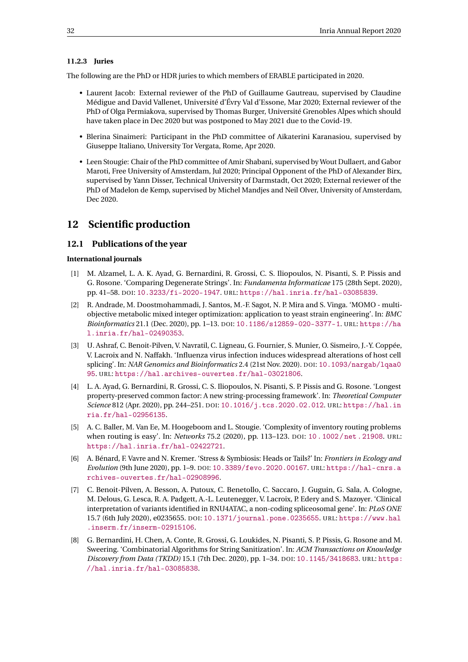## <span id="page-34-0"></span>**11.2.3 Juries**

The following are the PhD or HDR juries to which members of ERABLE participated in 2020.

- Laurent Jacob: External reviewer of the PhD of Guillaume Gautreau, supervised by Claudine Médigue and David Vallenet, Université d'Évry Val d'Essone, Mar 2020; External reviewer of the PhD of Olga Permiakova, supervised by Thomas Burger, Université Grenobles Alpes which should have taken place in Dec 2020 but was postponed to May 2021 due to the Covid-19.
- Blerina Sinaimeri: Participant in the PhD committee of Aikaterini Karanasiou, supervised by Giuseppe Italiano, University Tor Vergata, Rome, Apr 2020.
- Leen Stougie: Chair of the PhD committee of Amir Shabani, supervised by Wout Dullaert, and Gabor Maroti, Free University of Amsterdam, Jul 2020; Principal Opponent of the PhD of Alexander Birx, supervised by Yann Disser, Technical University of Darmstadt, Oct 2020; External reviewer of the PhD of Madelon de Kemp, supervised by Michel Mandjes and Neil Olver, University of Amsterdam, Dec 2020.

# <span id="page-34-1"></span>**12 Scientific production**

## <span id="page-34-2"></span>**12.1 Publications of the year**

## **International journals**

- <span id="page-34-3"></span>[1] M. Alzamel, L. A. K. Ayad, G. Bernardini, R. Grossi, C. S. Iliopoulos, N. Pisanti, S. P. Pissis and G. Rosone. 'Comparing Degenerate Strings'. In: *Fundamenta Informaticae* 175 (28th Sept. 2020), pp. 41–58. DOI: [10.3233/fi-2020-1947](https://doi.org/10.3233/fi-2020-1947). URL: <https://hal.inria.fr/hal-03085839>.
- <span id="page-34-10"></span>[2] R. Andrade, M. Doostmohammadi, J. Santos, M.-F. Sagot, N. P. Mira and S. Vinga. 'MOMO - multiobjective metabolic mixed integer optimization: application to yeast strain engineering'. In: *BMC Bioinformatics* 21.1 (Dec. 2020), pp. 1–13. DOI: [10.1186/s12859-020-3377-1](https://doi.org/10.1186/s12859-020-3377-1). URL: [https://ha](https://hal.inria.fr/hal-02490353) [l.inria.fr/hal-02490353](https://hal.inria.fr/hal-02490353).
- <span id="page-34-9"></span>[3] U. Ashraf, C. Benoit-Pilven, V. Navratil, C. Ligneau, G. Fournier, S. Munier, O. Sismeiro, J.-Y. Coppée, V. Lacroix and N. Naffakh. 'Influenza virus infection induces widespread alterations of host cell splicing'. In: *NAR Genomics and Bioinformatics* 2.4 (21st Nov. 2020). DOI: [10.1093/nargab/lqaa0](https://doi.org/10.1093/nargab/lqaa095) [95](https://doi.org/10.1093/nargab/lqaa095). URL: <https://hal.archives-ouvertes.fr/hal-03021806>.
- <span id="page-34-4"></span>[4] L. A. Ayad, G. Bernardini, R. Grossi, C. S. Iliopoulos, N. Pisanti, S. P. Pissis and G. Rosone. 'Longest property-preserved common factor: A new string-processing framework'. In: *Theoretical Computer Science* 812 (Apr. 2020), pp. 244–251. DOI: [10.1016/j.tcs.2020.02.012](https://doi.org/10.1016/j.tcs.2020.02.012). URL: [https://hal.in](https://hal.inria.fr/hal-02956135) [ria.fr/hal-02956135](https://hal.inria.fr/hal-02956135).
- <span id="page-34-5"></span>[5] A. C. Baller, M. Van Ee, M. Hoogeboom and L. Stougie. 'Complexity of inventory routing problems when routing is easy'. In: *Networks* 75.2 (2020), pp. 113–123. DOI: [10.1002/net.21908](https://doi.org/10.1002/net.21908). URL: <https://hal.inria.fr/hal-02422721>.
- <span id="page-34-6"></span>[6] A. Bénard, F. Vavre and N. Kremer. 'Stress & Symbiosis: Heads or Tails?' In: *Frontiers in Ecology and Evolution* (9th June 2020), pp. 1–9. DOI: [10.3389/fevo.2020.00167](https://doi.org/10.3389/fevo.2020.00167). URL: [https://hal-cnrs.a](https://hal-cnrs.archives-ouvertes.fr/hal-02908996) [rchives-ouvertes.fr/hal-02908996](https://hal-cnrs.archives-ouvertes.fr/hal-02908996).
- <span id="page-34-8"></span>[7] C. Benoit-Pilven, A. Besson, A. Putoux, C. Benetollo, C. Saccaro, J. Guguin, G. Sala, A. Cologne, M. Delous, G. Lesca, R. A. Padgett, A.-L. Leutenegger, V. Lacroix, P. Edery and S. Mazoyer. 'Clinical interpretation of variants identified in RNU4ATAC, a non-coding spliceosomal gene'. In: *PLoS ONE* 15.7 (6th July 2020), e0235655. DOI: [10.1371/journal.pone.0235655](https://doi.org/10.1371/journal.pone.0235655). URL: [https://www.hal](https://www.hal.inserm.fr/inserm-02915106) [.inserm.fr/inserm-02915106](https://www.hal.inserm.fr/inserm-02915106).
- <span id="page-34-7"></span>[8] G. Bernardini, H. Chen, A. Conte, R. Grossi, G. Loukides, N. Pisanti, S. P. Pissis, G. Rosone and M. Sweering. 'Combinatorial Algorithms for String Sanitization'. In: *ACM Transactions on Knowledge Discovery from Data (TKDD)* 15.1 (7th Dec. 2020), pp. 1–34. DOI: [10.1145/3418683](https://doi.org/10.1145/3418683). URL: [https:](https://hal.inria.fr/hal-03085838) [//hal.inria.fr/hal-03085838](https://hal.inria.fr/hal-03085838).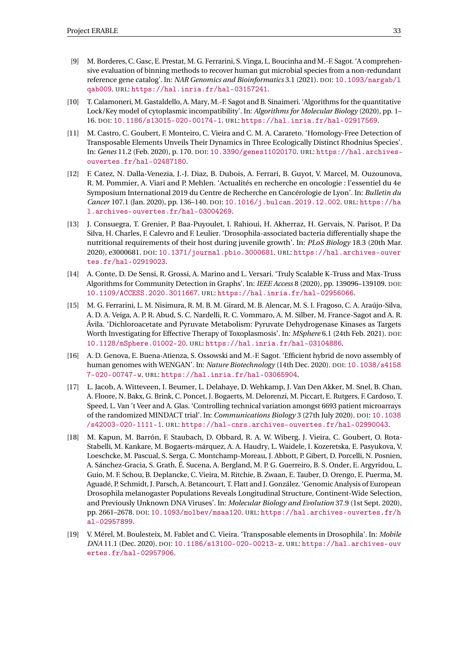- [9] M. Borderes, C. Gasc, E. Prestat, M. G. Ferrarini, S. Vinga, L. Boucinha and M.-F. Sagot. 'A comprehensive evaluation of binning methods to recover human gut microbial species from a non-redundant reference gene catalog'. In: *NAR Genomics and Bioinformatics* 3.1 (2021). DOI: [10.1093/nargab/l](https://doi.org/10.1093/nargab/lqab009) [qab009](https://doi.org/10.1093/nargab/lqab009). URL: <https://hal.inria.fr/hal-03157241>.
- <span id="page-35-7"></span>[10] T. Calamoneri, M. Gastaldello, A. Mary, M.-F. Sagot and B. Sinaimeri. 'Algorithms for the quantitative Lock/Key model of cytoplasmic incompatibility'. In: *Algorithms for Molecular Biology* (2020), pp. 1– 16. DOI: [10.1186/s13015-020-00174-1](https://doi.org/10.1186/s13015-020-00174-1). URL: <https://hal.inria.fr/hal-02917569>.
- <span id="page-35-1"></span>[11] M. Castro, C. Goubert, F. Monteiro, C. Vieira and C. M. A. Carareto. 'Homology-Free Detection of Transposable Elements Unveils Their Dynamics in Three Ecologically Distinct Rhodnius Species'. In: *Genes* 11.2 (Feb. 2020), p. 170. DOI: [10.3390/genes11020170](https://doi.org/10.3390/genes11020170). URL: [https://hal.archives](https://hal.archives-ouvertes.fr/hal-02487180)[ouvertes.fr/hal-02487180](https://hal.archives-ouvertes.fr/hal-02487180).
- <span id="page-35-2"></span>[12] F. Catez, N. Dalla-Venezia, J.-J. Diaz, B. Dubois, A. Ferrari, B. Guyot, V. Marcel, M. Ouzounova, R. M. Pommier, A. Viari and P. Mehlen. 'Actualités en recherche en oncologie : l'essentiel du 4e Symposium International 2019 du Centre de Recherche en Cancérologie de Lyon'. In: *Bulletin du Cancer* 107.1 (Jan. 2020), pp. 136–140. DOI: [10.1016/j.bulcan.2019.12.002](https://doi.org/10.1016/j.bulcan.2019.12.002). URL: [https://ha](https://hal.archives-ouvertes.fr/hal-03004269) [l.archives-ouvertes.fr/hal-03004269](https://hal.archives-ouvertes.fr/hal-03004269).
- <span id="page-35-3"></span>[13] J. Consuegra, T. Grenier, P. Baa-Puyoulet, I. Rahioui, H. Akherraz, H. Gervais, N. Parisot, P. Da Silva, H. Charles, F. Calevro and F. Leulier. 'Drosophila-associated bacteria differentially shape the nutritional requirements of their host during juvenile growth'. In: *PLoS Biology* 18.3 (20th Mar. 2020), e3000681. DOI: [10.1371/journal.pbio.3000681](https://doi.org/10.1371/journal.pbio.3000681). URL: [https://hal.archives-ouver](https://hal.archives-ouvertes.fr/hal-02919023) [tes.fr/hal-02919023](https://hal.archives-ouvertes.fr/hal-02919023).
- <span id="page-35-0"></span>[14] A. Conte, D. De Sensi, R. Grossi, A. Marino and L. Versari. 'Truly Scalable K-Truss and Max-Truss Algorithms for Community Detection in Graphs'. In: *IEEE Access* 8 (2020), pp. 139096–139109. DOI: [10.1109/ACCESS.2020.3011667](https://doi.org/10.1109/ACCESS.2020.3011667). URL: <https://hal.inria.fr/hal-02956066>.
- [15] M. G. Ferrarini, L. M. Nisimura, R. M. B. M. Girard, M. B. Alencar, M. S. I. Fragoso, C. A. Araújo-Silva, A. D. A. Veiga, A. P. R. Abud, S. C. Nardelli, R. C. Vommaro, A. M. Silber, M. France-Sagot and A. R. Ávila. 'Dichloroacetate and Pyruvate Metabolism: Pyruvate Dehydrogenase Kinases as Targets Worth Investigating for Effective Therapy of Toxoplasmosis'. In: *MSphere* 6.1 (24th Feb. 2021). DOI: [10.1128/mSphere.01002-20](https://doi.org/10.1128/mSphere.01002-20). URL: <https://hal.inria.fr/hal-03104886>.
- <span id="page-35-6"></span>[16] A. D. Genova, E. Buena-Atienza, S. Ossowski and M.-F. Sagot. 'Efficient hybrid de novo assembly of human genomes with WENGAN'. In: *Nature Biotechnology* (14th Dec. 2020). DOI: [10.1038/s4158](https://doi.org/10.1038/s41587-020-00747-w) [7-020-00747-w](https://doi.org/10.1038/s41587-020-00747-w). URL: <https://hal.inria.fr/hal-03065904>.
- <span id="page-35-8"></span>[17] L. Jacob, A. Witteveen, I. Beumer, L. Delahaye, D. Wehkamp, J. Van Den Akker, M. Snel, B. Chan, A. Floore, N. Bakx, G. Brink, C. Poncet, J. Bogaerts, M. Delorenzi, M. Piccart, E. Rutgers, F. Cardoso, T. Speed, L. Van 't Veer and A. Glas. 'Controlling technical variation amongst 6693 patient microarrays of the randomized MINDACT trial'. In: *Communications Biology* 3 (27th July 2020). DOI: [10.1038](https://doi.org/10.1038/s42003-020-1111-1) [/s42003-020-1111-1](https://doi.org/10.1038/s42003-020-1111-1). URL: <https://hal-cnrs.archives-ouvertes.fr/hal-02990043>.
- <span id="page-35-4"></span>[18] M. Kapun, M. Barrón, F. Staubach, D. Obbard, R. A. W. Wiberg, J. Vieira, C. Goubert, O. Rota-Stabelli, M. Kankare, M. Bogaerts-márquez, A. A. Haudry, L. Waidele, I. Kozeretska, E. Pasyukova, V. Loeschcke, M. Pascual, S. Serga, C. Montchamp-Moreau, J. Abbott, P. Gibert, D. Porcelli, N. Posnien, A. Sánchez-Gracia, S. Grath, É. Sucena, A. Bergland, M. P. G. Guerreiro, B. S. Onder, E. Argyridou, L. Guio, M. F. Schou, B. Deplancke, C. Vieira, M. Ritchie, B. Zwaan, E. Tauber, D. Orengo, E. Puerma, M. Aguadé, P. Schmidt, J. Parsch, A. Betancourt, T. Flatt and J. González. 'Genomic Analysis of European Drosophila melanogaster Populations Reveals Longitudinal Structure, Continent-Wide Selection, and Previously Unknown DNA Viruses'. In: *Molecular Biology and Evolution* 37.9 (1st Sept. 2020), pp. 2661–2678. DOI: [10.1093/molbev/msaa120](https://doi.org/10.1093/molbev/msaa120). URL: [https://hal.archives-ouvertes.fr/h](https://hal.archives-ouvertes.fr/hal-02957899) [al-02957899](https://hal.archives-ouvertes.fr/hal-02957899).
- <span id="page-35-5"></span>[19] V. Mérel, M. Boulesteix, M. Fablet and C. Vieira. 'Transposable elements in Drosophila'. In: *Mobile DNA* 11.1 (Dec. 2020). DOI: [10.1186/s13100-020-00213-z](https://doi.org/10.1186/s13100-020-00213-z). URL: [https://hal.archives-ouv](https://hal.archives-ouvertes.fr/hal-02957906) [ertes.fr/hal-02957906](https://hal.archives-ouvertes.fr/hal-02957906).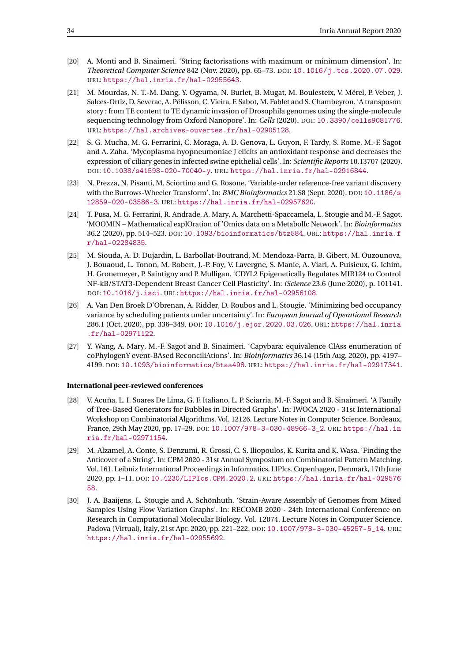- <span id="page-36-1"></span>[20] A. Monti and B. Sinaimeri. 'String factorisations with maximum or minimum dimension'. In: *Theoretical Computer Science* 842 (Nov. 2020), pp. 65–73. DOI: [10.1016/j.tcs.2020.07.029](https://doi.org/10.1016/j.tcs.2020.07.029). URL: <https://hal.inria.fr/hal-02955643>.
- <span id="page-36-2"></span>[21] M. Mourdas, N. T.-M. Dang, Y. Ogyama, N. Burlet, B. Mugat, M. Boulesteix, V. Mérel, P. Veber, J. Salces-Ortiz, D. Severac, A. Pélisson, C. Vieira, F. Sabot, M. Fablet and S. Chambeyron. 'A transposon story : from TE content to TE dynamic invasion of Drosophila genomes using the single-molecule sequencing technology from Oxford Nanopore'. In: *Cells* (2020). DOI: [10.3390/cells9081776](https://doi.org/10.3390/cells9081776). URL: <https://hal.archives-ouvertes.fr/hal-02905128>.
- <span id="page-36-8"></span>[22] S. G. Mucha, M. G. Ferrarini, C. Moraga, A. D. Genova, L. Guyon, F. Tardy, S. Rome, M.-F. Sagot and A. Zaha. 'Mycoplasma hyopneumoniae J elicits an antioxidant response and decreases the expression of ciliary genes in infected swine epithelial cells'. In: *Scientific Reports* 10.13707 (2020). DOI: [10.1038/s41598-020-70040-y](https://doi.org/10.1038/s41598-020-70040-y). URL: <https://hal.inria.fr/hal-02916844>.
- <span id="page-36-3"></span>[23] N. Prezza, N. Pisanti, M. Sciortino and G. Rosone. 'Variable-order reference-free variant discovery with the Burrows-Wheeler Transform'. In: *BMC Bioinformatics* 21.S8 (Sept. 2020). DOI: [10.1186/s](https://doi.org/10.1186/s12859-020-03586-3) [12859-020-03586-3](https://doi.org/10.1186/s12859-020-03586-3). URL: <https://hal.inria.fr/hal-02957620>.
- [24] T. Pusa, M. G. Ferrarini, R. Andrade, A. Mary, A. Marchetti-Spaccamela, L. Stougie and M.-F. Sagot. 'MOOMIN – Mathematical explOration of 'Omics data on a MetabolIc Network'. In: *Bioinformatics* 36.2 (2020), pp. 514–523. DOI: [10.1093/bioinformatics/btz584](https://doi.org/10.1093/bioinformatics/btz584). URL: [https://hal.inria.f](https://hal.inria.fr/hal-02284835) [r/hal-02284835](https://hal.inria.fr/hal-02284835).
- <span id="page-36-7"></span>[25] M. Siouda, A. D. Dujardin, L. Barbollat-Boutrand, M. Mendoza-Parra, B. Gibert, M. Ouzounova, J. Bouaoud, L. Tonon, M. Robert, J.-P. Foy, V. Lavergne, S. Manie, A. Viari, A. Puisieux, G. Ichim, H. Gronemeyer, P. Saintigny and P. Mulligan. 'CDYL2 Epigenetically Regulates MIR124 to Control NF-kB/STAT3-Dependent Breast Cancer Cell Plasticity'. In: *iScience* 23.6 (June 2020), p. 101141. DOI: [10.1016/j.isci](https://doi.org/10.1016/j.isci). URL: <https://hal.inria.fr/hal-02956108>.
- <span id="page-36-9"></span>[26] A. Van Den Broek D'Obrenan, A. Ridder, D. Roubos and L. Stougie. 'Minimizing bed occupancy variance by scheduling patients under uncertainty'. In: *European Journal of Operational Research* 286.1 (Oct. 2020), pp. 336–349. DOI: [10.1016/j.ejor.2020.03.026](https://doi.org/10.1016/j.ejor.2020.03.026). URL: [https://hal.inria](https://hal.inria.fr/hal-02971122) [.fr/hal-02971122](https://hal.inria.fr/hal-02971122).
- <span id="page-36-6"></span>[27] Y. Wang, A. Mary, M.-F. Sagot and B. Sinaimeri. 'Capybara: equivalence ClAss enumeration of coPhylogenY event-BAsed ReconciliAtions'. In: *Bioinformatics* 36.14 (15th Aug. 2020), pp. 4197– 4199. DOI: [10.1093/bioinformatics/btaa498](https://doi.org/10.1093/bioinformatics/btaa498). URL: <https://hal.inria.fr/hal-02917341>.

#### **International peer-reviewed conferences**

- <span id="page-36-4"></span>[28] V. Acuña, L. I. Soares De Lima, G. F. Italiano, L. P. Sciarria, M.-F. Sagot and B. Sinaimeri. 'A Family of Tree-Based Generators for Bubbles in Directed Graphs'. In: IWOCA 2020 - 31st International Workshop on Combinatorial Algorithms. Vol. 12126. Lecture Notes in Computer Science. Bordeaux, France, 29th May 2020, pp. 17–29. DOI: [10.1007/978-3-030-48966-3\\_2](https://doi.org/10.1007/978-3-030-48966-3_2). URL: [https://hal.in](https://hal.inria.fr/hal-02971154) [ria.fr/hal-02971154](https://hal.inria.fr/hal-02971154).
- <span id="page-36-0"></span>[29] M. Alzamel, A. Conte, S. Denzumi, R. Grossi, C. S. Iliopoulos, K. Kurita and K. Wasa. 'Finding the Anticover of a String'. In: CPM 2020 - 31st Annual Symposium on Combinatorial Pattern Matching. Vol. 161. Leibniz International Proceedings in Informatics, LIPIcs. Copenhagen, Denmark, 17th June 2020, pp. 1–11. DOI: [10.4230/LIPIcs.CPM.2020.2](https://doi.org/10.4230/LIPIcs.CPM.2020.2). URL: [https://hal.inria.fr/hal-029576](https://hal.inria.fr/hal-02957658) [58](https://hal.inria.fr/hal-02957658).
- <span id="page-36-5"></span>[30] J. A. Baaijens, L. Stougie and A. Schönhuth. 'Strain-Aware Assembly of Genomes from Mixed Samples Using Flow Variation Graphs'. In: RECOMB 2020 - 24th International Conference on Research in Computational Molecular Biology. Vol. 12074. Lecture Notes in Computer Science. Padova (Virtual), Italy, 21st Apr. 2020, pp. 221–222. DOI: [10.1007/978-3-030-45257-5\\_14](https://doi.org/10.1007/978-3-030-45257-5_14). URL: <https://hal.inria.fr/hal-02955692>.